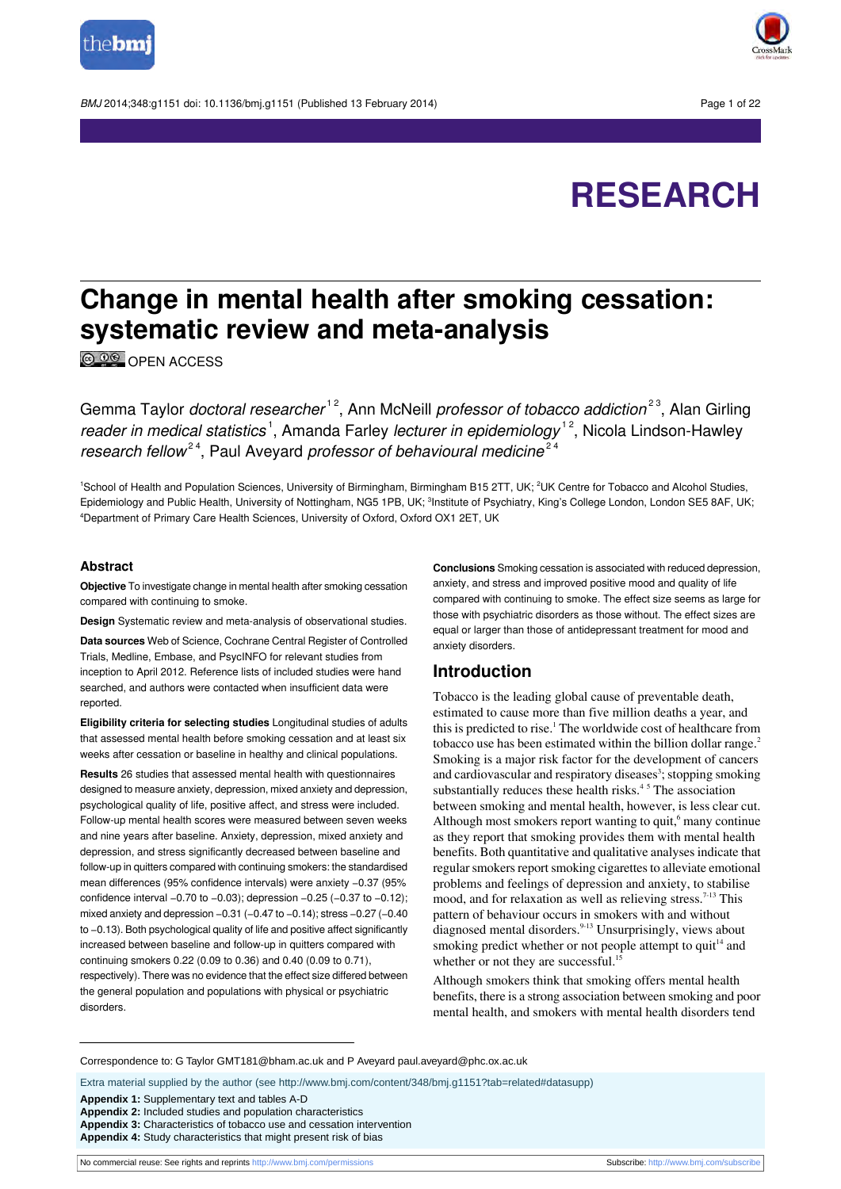

BMJ 2014:348:g1151 doi: 10.1136/bmi.g1151 (Published 13 February 2014) Page 1 of 22



# **RESEARCH**

# **Change in mental health after smoking cessation: systematic review and meta-analysis**

O [OPEN ACCESS](http://creativecommons.org/licenses/by-nc/3.0/)

Gemma Taylor *doctoral researcher*<sup>12</sup>, Ann McNeill *professor of tobacco addiction*<sup>23</sup>, Alan Girling reader in medical statistics<sup>1</sup>, Amanda Farley lecturer in epidemiology<sup>12</sup>, Nicola Lindson-Hawley research fellow<sup>24</sup>, Paul Aveyard professor of behavioural medicine<sup>24</sup>

<sup>1</sup>School of Health and Population Sciences, University of Birmingham, Birmingham B15 2TT, UK; <sup>2</sup>UK Centre for Tobacco and Alcohol Studies, Epidemiology and Public Health, University of Nottingham, NG5 1PB, UK; <sup>3</sup>Institute of Psychiatry, King's College London, London SE5 8AF, UK; <sup>4</sup>Department of Primary Care Health Sciences, University of Oxford, Oxford OX1 2ET, UK

#### **Abstract**

**Objective** To investigate change in mental health after smoking cessation compared with continuing to smoke.

**Design** Systematic review and meta-analysis of observational studies.

**Data sources** Web of Science, Cochrane Central Register of Controlled Trials, Medline, Embase, and PsycINFO for relevant studies from inception to April 2012. Reference lists of included studies were hand searched, and authors were contacted when insufficient data were reported.

**Eligibility criteria for selecting studies** Longitudinal studies of adults that assessed mental health before smoking cessation and at least six weeks after cessation or baseline in healthy and clinical populations.

**Results** 26 studies that assessed mental health with questionnaires designed to measure anxiety, depression, mixed anxiety and depression, psychological quality of life, positive affect, and stress were included. Follow-up mental health scores were measured between seven weeks and nine years after baseline. Anxiety, depression, mixed anxiety and depression, and stress significantly decreased between baseline and follow-up in quitters compared with continuing smokers: the standardised mean differences (95% confidence intervals) were anxiety −0.37 (95% confidence interval −0.70 to −0.03); depression −0.25 (−0.37 to −0.12); mixed anxiety and depression −0.31 (−0.47 to −0.14); stress −0.27 (−0.40 to −0.13). Both psychological quality of life and positive affect significantly increased between baseline and follow-up in quitters compared with continuing smokers 0.22 (0.09 to 0.36) and 0.40 (0.09 to 0.71), respectively). There was no evidence that the effect size differed between the general population and populations with physical or psychiatric disorders.

**Conclusions** Smoking cessation is associated with reduced depression, anxiety, and stress and improved positive mood and quality of life compared with continuing to smoke. The effect size seems as large for those with psychiatric disorders as those without. The effect sizes are equal or larger than those of antidepressant treatment for mood and anxiety disorders.

## **Introduction**

Tobacco is the leading global cause of preventable death, estimated to cause more than five million deaths a year, and this is predicted to rise.<sup>1</sup> The worldwide cost of healthcare from tobacco use has been estimated within the billion dollar range.<sup>2</sup> Smoking is a major risk factor for the development of cancers and cardiovascular and respiratory diseases<sup>3</sup>; stopping smoking substantially reduces these health risks.<sup>45</sup> The association between smoking and mental health, however, is less clear cut. Although most smokers report wanting to quit, $6$  many continue as they report that smoking provides them with mental health benefits. Both quantitative and qualitative analyses indicate that regular smokers report smoking cigarettes to alleviate emotional problems and feelings of depression and anxiety, to stabilise mood, and for relaxation as well as relieving stress.<sup>7-13</sup> This pattern of behaviour occurs in smokers with and without diagnosed mental disorders.<sup>9-13</sup> Unsurprisingly, views about smoking predict whether or not people attempt to  $quit<sup>14</sup>$  and whether or not they are successful.<sup>15</sup>

Although smokers think that smoking offers mental health benefits, there is a strong association between smoking and poor mental health, and smokers with mental health disorders tend

Correspondence to: G Taylor GMT181@bham.ac.uk and P Aveyard paul.aveyard@phc.ox.ac.uk

Extra material supplied by the author (see [http://www.bmj.com/content/348/bmj.g1151?tab=related#datasupp\)](http://www.bmj.com/content/348/bmj.g1151?tab=related#datasupp)

**Appendix 1:** Supplementary text and tables A-D

**Appendix 2:** Included studies and population characteristics

**Appendix 4:** Study characteristics that might present risk of bias

No commercial reuse: See rights and reprints <http://www.bmj.com/permissions> Subscribe: <http://www.bmj.com/subscribe>

**Appendix 3:** Characteristics of tobacco use and cessation intervention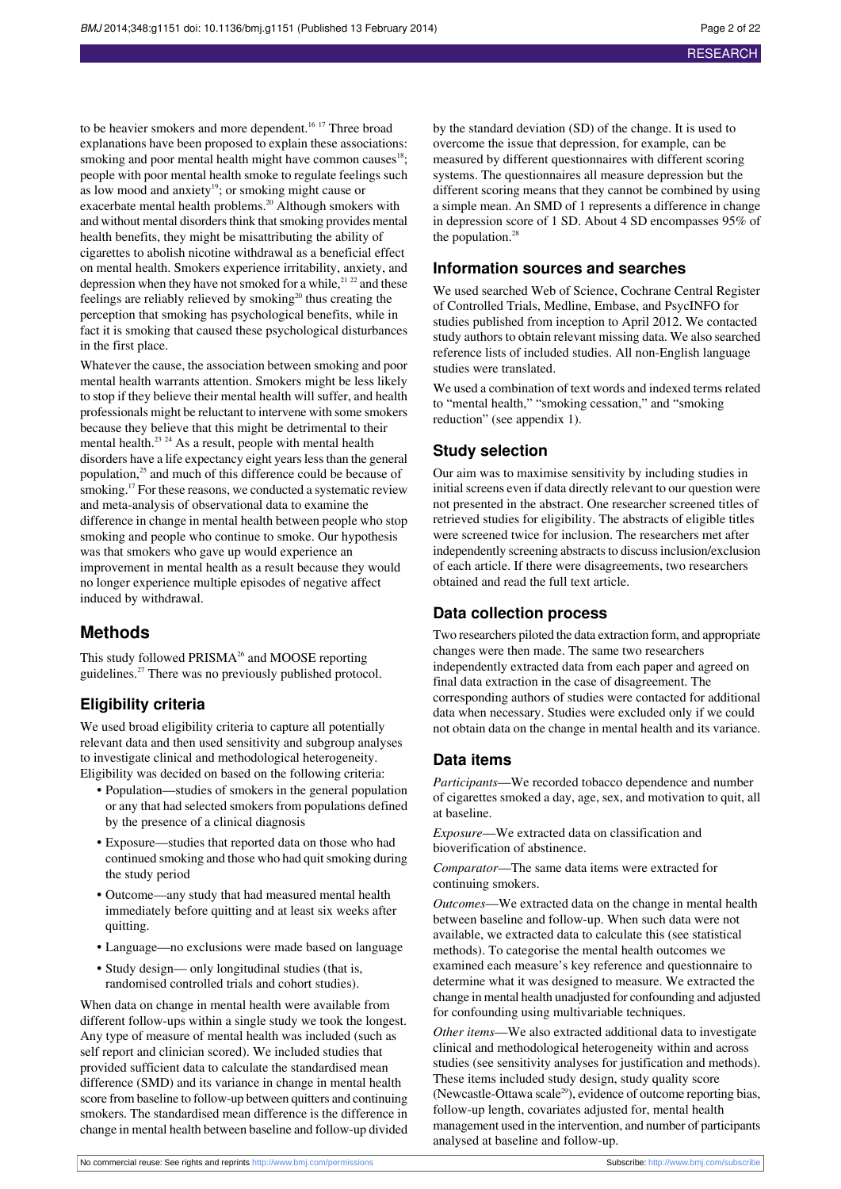to be heavier smokers and more dependent.<sup>16 17</sup> Three broad explanations have been proposed to explain these associations: smoking and poor mental health might have common causes<sup>18</sup>; people with poor mental health smoke to regulate feelings such as low mood and anxiety<sup>19</sup>; or smoking might cause or exacerbate mental health problems.<sup>20</sup> Although smokers with and without mental disorders think that smoking provides mental health benefits, they might be misattributing the ability of cigarettes to abolish nicotine withdrawal as a beneficial effect on mental health. Smokers experience irritability, anxiety, and depression when they have not smoked for a while, $21 22$  and these feelings are reliably relieved by smoking<sup>20</sup> thus creating the perception that smoking has psychological benefits, while in fact it is smoking that caused these psychological disturbances in the first place.

Whatever the cause, the association between smoking and poor mental health warrants attention. Smokers might be less likely to stop if they believe their mental health will suffer, and health professionals might be reluctant to intervene with some smokers because they believe that this might be detrimental to their mental health.<sup>23</sup> <sup>24</sup> As a result, people with mental health disorders have a life expectancy eight years less than the general population,<sup>25</sup> and much of this difference could be because of smoking.<sup>17</sup> For these reasons, we conducted a systematic review and meta-analysis of observational data to examine the difference in change in mental health between people who stop smoking and people who continue to smoke. Our hypothesis was that smokers who gave up would experience an improvement in mental health as a result because they would no longer experience multiple episodes of negative affect induced by withdrawal.

## **Methods**

This study followed PRISMA<sup>26</sup> and MOOSE reporting guidelines.<sup>27</sup> There was no previously published protocol.

#### **Eligibility criteria**

We used broad eligibility criteria to capture all potentially relevant data and then used sensitivity and subgroup analyses to investigate clinical and methodological heterogeneity. Eligibility was decided on based on the following criteria:

- **•** Population—studies of smokers in the general population or any that had selected smokers from populations defined by the presence of a clinical diagnosis
- **•** Exposure—studies that reported data on those who had continued smoking and those who had quit smoking during the study period
- **•** Outcome—any study that had measured mental health immediately before quitting and at least six weeks after quitting.
- **•** Language—no exclusions were made based on language
- **•** Study design— only longitudinal studies (that is, randomised controlled trials and cohort studies).

When data on change in mental health were available from different follow-ups within a single study we took the longest. Any type of measure of mental health was included (such as self report and clinician scored). We included studies that provided sufficient data to calculate the standardised mean difference (SMD) and its variance in change in mental health score from baseline to follow-up between quitters and continuing smokers. The standardised mean difference is the difference in change in mental health between baseline and follow-up divided

by the standard deviation (SD) of the change. It is used to overcome the issue that depression, for example, can be measured by different questionnaires with different scoring systems. The questionnaires all measure depression but the different scoring means that they cannot be combined by using a simple mean. An SMD of 1 represents a difference in change in depression score of 1 SD. About 4 SD encompasses 95% of the population.<sup>28</sup>

#### **Information sources and searches**

We used searched Web of Science, Cochrane Central Register of Controlled Trials, Medline, Embase, and PsycINFO for studies published from inception to April 2012. We contacted study authors to obtain relevant missing data. We also searched reference lists of included studies. All non-English language studies were translated.

We used a combination of text words and indexed terms related to "mental health," "smoking cessation," and "smoking reduction" (see appendix 1).

#### **Study selection**

Our aim was to maximise sensitivity by including studies in initial screens even if data directly relevant to our question were not presented in the abstract. One researcher screened titles of retrieved studies for eligibility. The abstracts of eligible titles were screened twice for inclusion. The researchers met after independently screening abstracts to discuss inclusion/exclusion of each article. If there were disagreements, two researchers obtained and read the full text article.

#### **Data collection process**

Two researchers piloted the data extraction form, and appropriate changes were then made. The same two researchers independently extracted data from each paper and agreed on final data extraction in the case of disagreement. The corresponding authors of studies were contacted for additional data when necessary. Studies were excluded only if we could not obtain data on the change in mental health and its variance.

#### **Data items**

*Participants*—We recorded tobacco dependence and number of cigarettes smoked a day, age, sex, and motivation to quit, all at baseline.

*Exposure*—We extracted data on classification and bioverification of abstinence.

*Comparator*—The same data items were extracted for continuing smokers.

*Outcomes*—We extracted data on the change in mental health between baseline and follow-up. When such data were not available, we extracted data to calculate this (see statistical methods). To categorise the mental health outcomes we examined each measure's key reference and questionnaire to determine what it was designed to measure. We extracted the change in mental health unadjusted for confounding and adjusted for confounding using multivariable techniques.

*Other items*—We also extracted additional data to investigate clinical and methodological heterogeneity within and across studies (see sensitivity analyses for justification and methods). These items included study design, study quality score (Newcastle-Ottawa scale<sup>29</sup>), evidence of outcome reporting bias, follow-up length, covariates adjusted for, mental health management used in the intervention, and number of participants analysed at baseline and follow-up.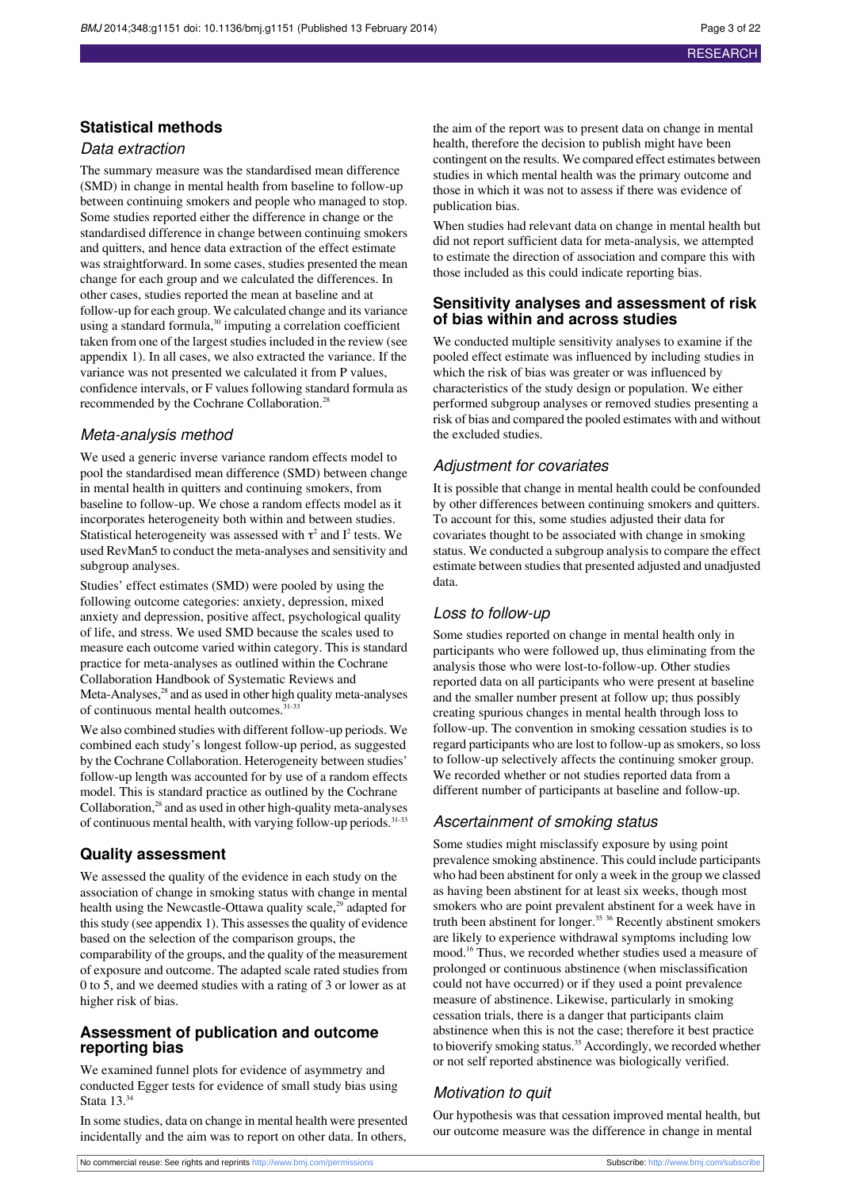#### **Statistical methods**

#### Data extraction

The summary measure was the standardised mean difference (SMD) in change in mental health from baseline to follow-up between continuing smokers and people who managed to stop. Some studies reported either the difference in change or the standardised difference in change between continuing smokers and quitters, and hence data extraction of the effect estimate was straightforward. In some cases, studies presented the mean change for each group and we calculated the differences. In other cases, studies reported the mean at baseline and at follow-up for each group. We calculated change and its variance using a standard formula,<sup>30</sup> imputing a correlation coefficient taken from one of the largest studies included in the review (see appendix 1). In all cases, we also extracted the variance. If the variance was not presented we calculated it from P values, confidence intervals, or F values following standard formula as recommended by the Cochrane Collaboration.<sup>28</sup>

#### Meta-analysis method

We used a generic inverse variance random effects model to pool the standardised mean difference (SMD) between change in mental health in quitters and continuing smokers, from baseline to follow-up. We chose a random effects model as it incorporates heterogeneity both within and between studies. Statistical heterogeneity was assessed with  $\tau^2$  and  $I^2$  tests. We used RevMan5 to conduct the meta-analyses and sensitivity and subgroup analyses.

Studies' effect estimates (SMD) were pooled by using the following outcome categories: anxiety, depression, mixed anxiety and depression, positive affect, psychological quality of life, and stress. We used SMD because the scales used to measure each outcome varied within category. This is standard practice for meta-analyses as outlined within the Cochrane Collaboration Handbook of Systematic Reviews and Meta-Analyses, $28$  and as used in other high quality meta-analyses of continuous mental health outcomes.<sup>31-33</sup>

We also combined studies with different follow-up periods. We combined each study's longest follow-up period, as suggested by the Cochrane Collaboration. Heterogeneity between studies' follow-up length was accounted for by use of a random effects model. This is standard practice as outlined by the Cochrane Collaboration,<sup>28</sup> and as used in other high-quality meta-analyses of continuous mental health, with varying follow-up periods.31-33

#### **Quality assessment**

We assessed the quality of the evidence in each study on the association of change in smoking status with change in mental health using the Newcastle-Ottawa quality scale,<sup>29</sup> adapted for this study (see appendix 1). This assesses the quality of evidence based on the selection of the comparison groups, the comparability of the groups, and the quality of the measurement of exposure and outcome. The adapted scale rated studies from 0 to 5, and we deemed studies with a rating of 3 or lower as at higher risk of bias.

#### **Assessment of publication and outcome reporting bias**

We examined funnel plots for evidence of asymmetry and conducted Egger tests for evidence of small study bias using Stata  $13.^{34}$ 

In some studies, data on change in mental health were presented incidentally and the aim was to report on other data. In others,

the aim of the report was to present data on change in mental health, therefore the decision to publish might have been contingent on the results. We compared effect estimates between studies in which mental health was the primary outcome and those in which it was not to assess if there was evidence of publication bias.

When studies had relevant data on change in mental health but did not report sufficient data for meta-analysis, we attempted to estimate the direction of association and compare this with those included as this could indicate reporting bias.

#### **Sensitivity analyses and assessment of risk of bias within and across studies**

We conducted multiple sensitivity analyses to examine if the pooled effect estimate was influenced by including studies in which the risk of bias was greater or was influenced by characteristics of the study design or population. We either performed subgroup analyses or removed studies presenting a risk of bias and compared the pooled estimates with and without the excluded studies.

#### Adjustment for covariates

It is possible that change in mental health could be confounded by other differences between continuing smokers and quitters. To account for this, some studies adjusted their data for covariates thought to be associated with change in smoking status. We conducted a subgroup analysis to compare the effect estimate between studies that presented adjusted and unadjusted data.

#### Loss to follow-up

Some studies reported on change in mental health only in participants who were followed up, thus eliminating from the analysis those who were lost-to-follow-up. Other studies reported data on all participants who were present at baseline and the smaller number present at follow up; thus possibly creating spurious changes in mental health through loss to follow-up. The convention in smoking cessation studies is to regard participants who are lost to follow-up as smokers, so loss to follow-up selectively affects the continuing smoker group. We recorded whether or not studies reported data from a different number of participants at baseline and follow-up.

#### Ascertainment of smoking status

Some studies might misclassify exposure by using point prevalence smoking abstinence. This could include participants who had been abstinent for only a week in the group we classed as having been abstinent for at least six weeks, though most smokers who are point prevalent abstinent for a week have in truth been abstinent for longer.<sup>35 36</sup> Recently abstinent smokers are likely to experience withdrawal symptoms including low mood.<sup>16</sup> Thus, we recorded whether studies used a measure of prolonged or continuous abstinence (when misclassification could not have occurred) or if they used a point prevalence measure of abstinence. Likewise, particularly in smoking cessation trials, there is a danger that participants claim abstinence when this is not the case; therefore it best practice to bioverify smoking status.<sup>35</sup> Accordingly, we recorded whether or not self reported abstinence was biologically verified.

#### Motivation to quit

Our hypothesis was that cessation improved mental health, but our outcome measure was the difference in change in mental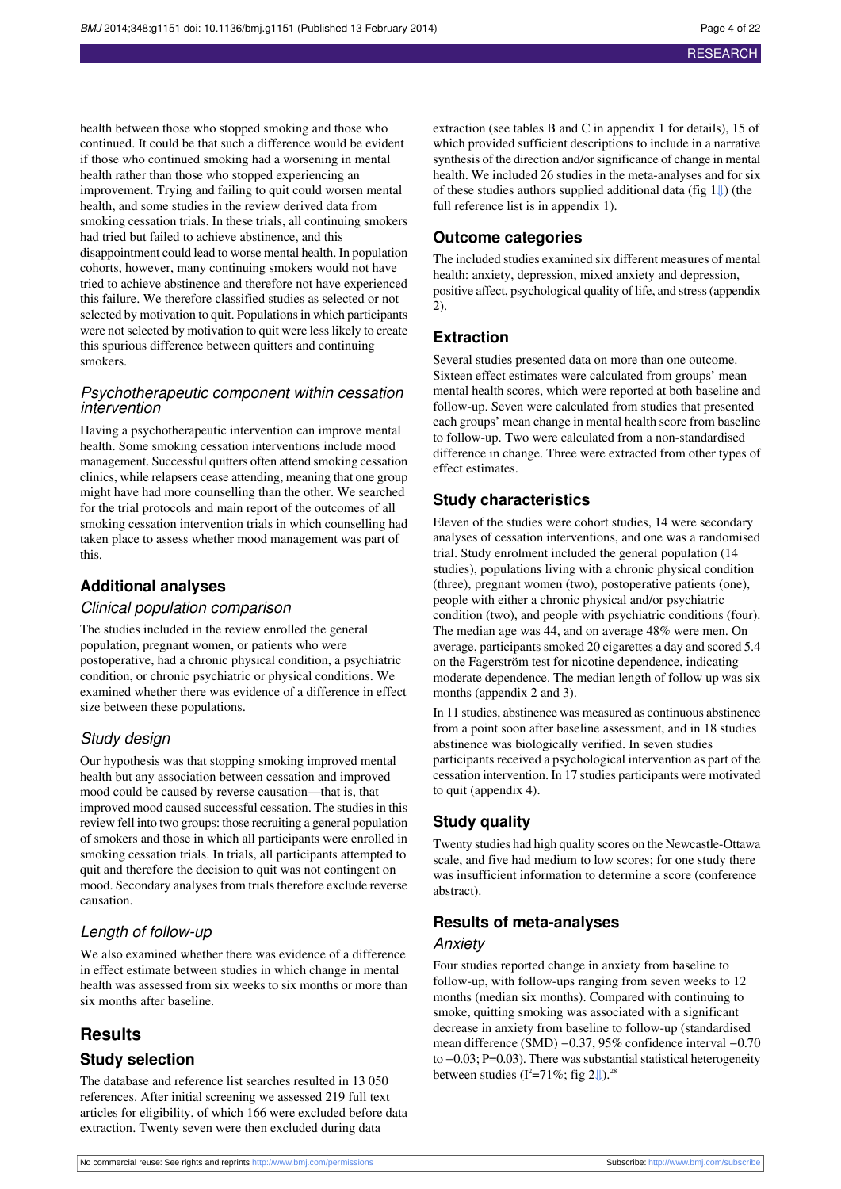health between those who stopped smoking and those who continued. It could be that such a difference would be evident if those who continued smoking had a worsening in mental health rather than those who stopped experiencing an improvement. Trying and failing to quit could worsen mental health, and some studies in the review derived data from smoking cessation trials. In these trials, all continuing smokers had tried but failed to achieve abstinence, and this disappointment could lead to worse mental health. In population cohorts, however, many continuing smokers would not have tried to achieve abstinence and therefore not have experienced this failure. We therefore classified studies as selected or not selected by motivation to quit. Populations in which participants were not selected by motivation to quit were less likely to create this spurious difference between quitters and continuing smokers.

#### Psychotherapeutic component within cessation intervention

Having a psychotherapeutic intervention can improve mental health. Some smoking cessation interventions include mood management. Successful quitters often attend smoking cessation clinics, while relapsers cease attending, meaning that one group might have had more counselling than the other. We searched for the trial protocols and main report of the outcomes of all smoking cessation intervention trials in which counselling had taken place to assess whether mood management was part of this.

#### **Additional analyses**

#### Clinical population comparison

The studies included in the review enrolled the general population, pregnant women, or patients who were postoperative, had a chronic physical condition, a psychiatric condition, or chronic psychiatric or physical conditions. We examined whether there was evidence of a difference in effect size between these populations.

#### Study design

Our hypothesis was that stopping smoking improved mental health but any association between cessation and improved mood could be caused by reverse causation—that is, that improved mood caused successful cessation. The studies in this review fell into two groups: those recruiting a general population of smokers and those in which all participants were enrolled in smoking cessation trials. In trials, all participants attempted to quit and therefore the decision to quit was not contingent on mood. Secondary analyses from trials therefore exclude reverse causation.

#### Length of follow-up

We also examined whether there was evidence of a difference in effect estimate between studies in which change in mental health was assessed from six weeks to six months or more than six months after baseline.

#### **Results**

## **Study selection**

The database and reference list searches resulted in 13 050 references. After initial screening we assessed 219 full text articles for eligibility, of which 166 were excluded before data extraction. Twenty seven were then excluded during data

extraction (see tables B and C in appendix 1 for details), 15 of which provided sufficient descriptions to include in a narrative synthesis of the direction and/or significance of change in mental health. We included 26 studies in the meta-analyses and for six of these studies authors supplied additional data (fig1[⇓\)](#page-19-0) (the full reference list is in appendix 1).

#### **Outcome categories**

The included studies examined six different measures of mental health: anxiety, depression, mixed anxiety and depression, positive affect, psychological quality of life, and stress (appendix  $2)$ 

#### **Extraction**

Several studies presented data on more than one outcome. Sixteen effect estimates were calculated from groups' mean mental health scores, which were reported at both baseline and follow-up. Seven were calculated from studies that presented each groups' mean change in mental health score from baseline to follow-up. Two were calculated from a non-standardised difference in change. Three were extracted from other types of effect estimates.

#### **Study characteristics**

Eleven of the studies were cohort studies, 14 were secondary analyses of cessation interventions, and one was a randomised trial. Study enrolment included the general population (14 studies), populations living with a chronic physical condition (three), pregnant women (two), postoperative patients (one), people with either a chronic physical and/or psychiatric condition (two), and people with psychiatric conditions (four). The median age was 44, and on average 48% were men. On average, participants smoked 20 cigarettes a day and scored 5.4 on the Fagerström test for nicotine dependence, indicating moderate dependence. The median length of follow up was six months (appendix 2 and 3).

In 11 studies, abstinence was measured as continuous abstinence from a point soon after baseline assessment, and in 18 studies abstinence was biologically verified. In seven studies participants received a psychological intervention as part of the cessation intervention. In 17 studies participants were motivated to quit (appendix 4).

#### **Study quality**

Twenty studies had high quality scores on the Newcastle-Ottawa scale, and five had medium to low scores; for one study there was insufficient information to determine a score (conference abstract).

#### **Results of meta-analyses**

#### **Anxiety**

Four studies reported change in anxiety from baseline to follow-up, with follow-ups ranging from seven weeks to 12 months (median six months). Compared with continuing to smoke, quitting smoking was associated with a significant decrease in anxiety from baseline to follow-up (standardised mean difference (SMD) −0.37, 95% confidence interval −0.70 to −0.03; P=0.03). There was substantial statistical heterogeneity between studies  $(I^2=71\%;$  fig 2 $\vert\vert$ ).<sup>28</sup>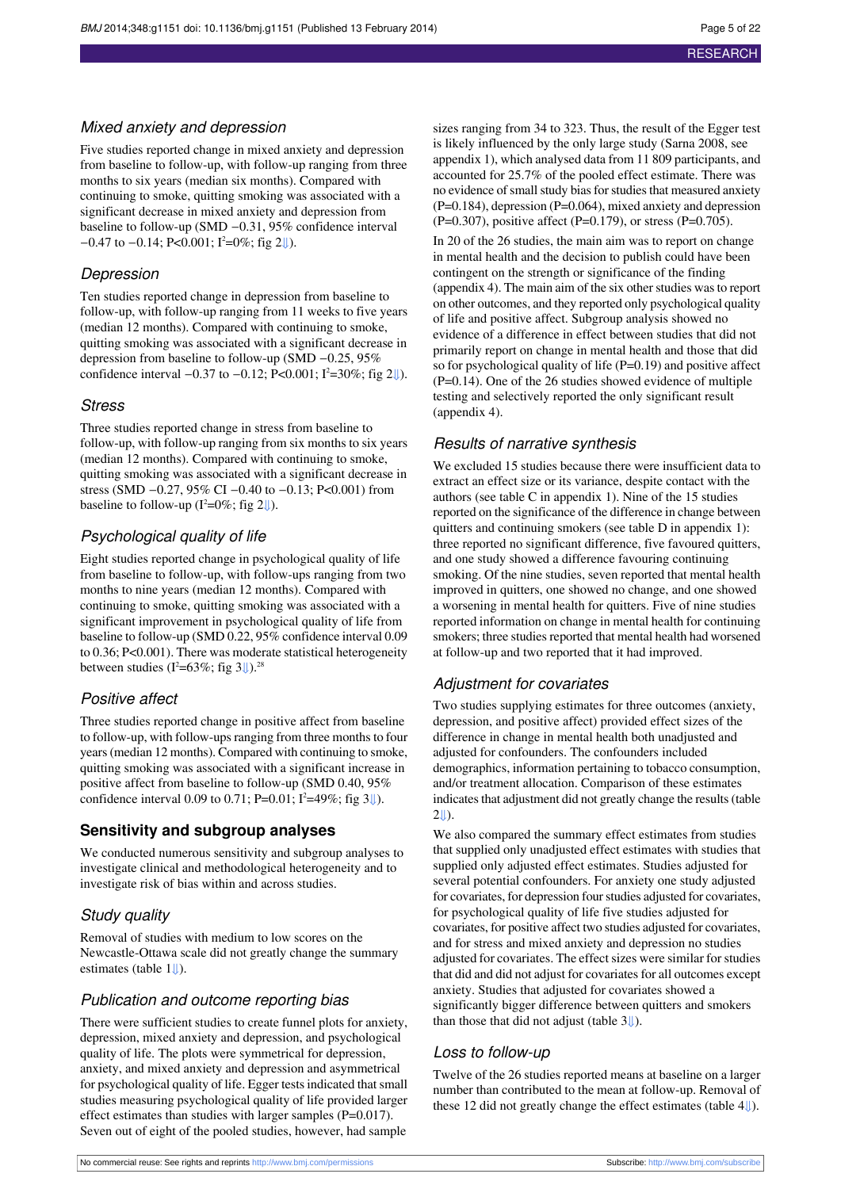#### Mixed anxiety and depression

Five studies reported change in mixed anxiety and depression from baseline to follow-up, with follow-up ranging from three months to six years (median six months). Compared with continuing to smoke, quitting smoking was associated with a significant decrease in mixed anxiety and depression from baseline to follow-up (SMD −0.31, 95% confidence interval  $-0.47$ to  $-0.14$ ; P<0.001; I<sup>2</sup>=0%; fig 2↓).

#### Depression

Ten studies reported change in depression from baseline to follow-up, with follow-up ranging from 11 weeks to five years (median 12 months). Compared with continuing to smoke, quitting smoking was associated with a significant decrease in depression from baseline to follow-up (SMD −0.25, 95% confidence interval  $-0.37$  to  $-0.12$ ; P<0.001; I<sup>2</sup>=30%; fig 2↓).

#### Stress

Three studies reported change in stress from baseline to follow-up, with follow-up ranging from six months to six years (median 12 months). Compared with continuing to smoke, quitting smoking was associated with a significant decrease in stress (SMD −0.27, 95% CI −0.40 to −0.13; P<0.001) from baselineto follow-up ( $I^2=0\%$ ; fig 2 $\downarrow$ ).

## Psychological quality of life

Eight studies reported change in psychological quality of life from baseline to follow-up, with follow-ups ranging from two months to nine years (median 12 months). Compared with continuing to smoke, quitting smoking was associated with a significant improvement in psychological quality of life from baseline to follow-up (SMD 0.22, 95% confidence interval 0.09 to 0.36; P<0.001). There was moderate statistical heterogeneity between studies ( $I^2$ =63%; fig 3 $\downarrow$ ).<sup>28</sup>

## Positive affect

Three studies reported change in positive affect from baseline to follow-up, with follow-ups ranging from three months to four years (median 12 months). Compared with continuing to smoke, quitting smoking was associated with a significant increase in positive affect from baseline to follow-up (SMD 0.40, 95% confidenceinterval 0.09 to 0.71; P=0.01;  $I^2$ =49%; fig 3 $\downarrow$ ).

#### **Sensitivity and subgroup analyses**

We conducted numerous sensitivity and subgroup analyses to investigate clinical and methodological heterogeneity and to investigate risk of bias within and across studies.

## Study quality

Removal of studies with medium to low scores on the Newcastle-Ottawa scale did not greatly change the summary estimates (table1[⇓\)](#page-9-0).

## Publication and outcome reporting bias

There were sufficient studies to create funnel plots for anxiety, depression, mixed anxiety and depression, and psychological quality of life. The plots were symmetrical for depression, anxiety, and mixed anxiety and depression and asymmetrical for psychological quality of life. Egger tests indicated that small studies measuring psychological quality of life provided larger effect estimates than studies with larger samples (P=0.017). Seven out of eight of the pooled studies, however, had sample

sizes ranging from 34 to 323. Thus, the result of the Egger test is likely influenced by the only large study (Sarna 2008, see appendix 1), which analysed data from 11 809 participants, and accounted for 25.7% of the pooled effect estimate. There was no evidence of small study bias for studies that measured anxiety (P=0.184), depression (P=0.064), mixed anxiety and depression (P=0.307), positive affect (P=0.179), or stress (P=0.705).

In 20 of the 26 studies, the main aim was to report on change in mental health and the decision to publish could have been contingent on the strength or significance of the finding (appendix 4). The main aim of the six other studies was to report on other outcomes, and they reported only psychological quality of life and positive affect. Subgroup analysis showed no evidence of a difference in effect between studies that did not primarily report on change in mental health and those that did so for psychological quality of life (P=0.19) and positive affect (P=0.14). One of the 26 studies showed evidence of multiple testing and selectively reported the only significant result (appendix 4).

## Results of narrative synthesis

We excluded 15 studies because there were insufficient data to extract an effect size or its variance, despite contact with the authors (see table C in appendix 1). Nine of the 15 studies reported on the significance of the difference in change between quitters and continuing smokers (see table D in appendix 1): three reported no significant difference, five favoured quitters, and one study showed a difference favouring continuing smoking. Of the nine studies, seven reported that mental health improved in quitters, one showed no change, and one showed a worsening in mental health for quitters. Five of nine studies reported information on change in mental health for continuing smokers; three studies reported that mental health had worsened at follow-up and two reported that it had improved.

## Adjustment for covariates

Two studies supplying estimates for three outcomes (anxiety, depression, and positive affect) provided effect sizes of the difference in change in mental health both unadjusted and adjusted for confounders. The confounders included demographics, information pertaining to tobacco consumption, and/or treatment allocation. Comparison of these estimates indicates that adjustment did not greatly change the results (table  $2 \mathbb{U}$ ).

We also compared the summary effect estimates from studies that supplied only unadjusted effect estimates with studies that supplied only adjusted effect estimates. Studies adjusted for several potential confounders. For anxiety one study adjusted for covariates, for depression four studies adjusted for covariates, for psychological quality of life five studies adjusted for covariates, for positive affect two studies adjusted for covariates, and for stress and mixed anxiety and depression no studies adjusted for covariates. The effect sizes were similar for studies that did and did not adjust for covariates for all outcomes except anxiety. Studies that adjusted for covariates showed a significantly bigger difference between quitters and smokers than those that did not adjust (table [3⇓](#page-11-0)).

#### Loss to follow-up

Twelve of the 26 studies reported means at baseline on a larger number than contributed to the mean at follow-up. Removal of these 12 did not greatly change the effect estimates (table [4⇓](#page-12-0)).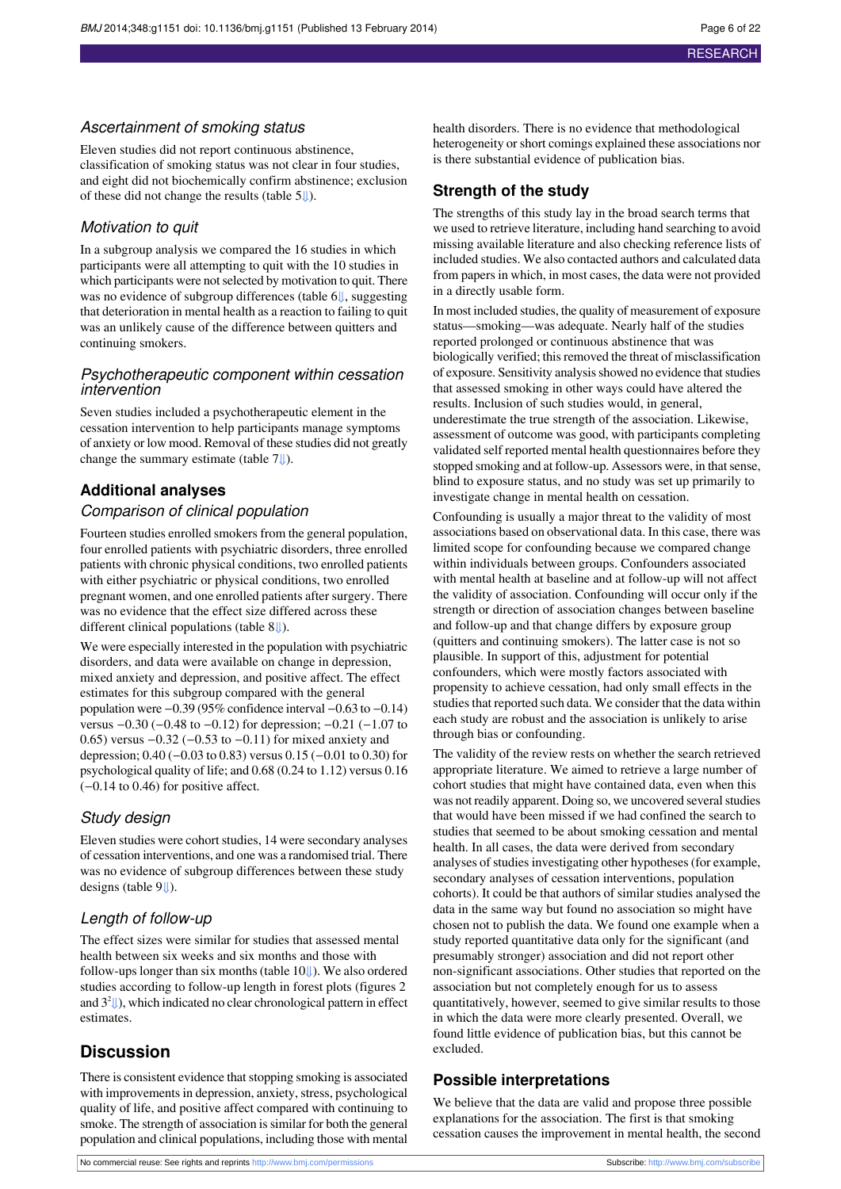#### Ascertainment of smoking status

Eleven studies did not report continuous abstinence, classification of smoking status was not clear in four studies, and eight did not biochemically confirm abstinence; exclusion of these did not change the results (table5[⇓\)](#page-13-0).

#### Motivation to quit

In a subgroup analysis we compared the 16 studies in which participants were all attempting to quit with the 10 studies in which participants were not selected by motivation to quit. There was no evidence of subgroup differences (table [6⇓](#page-14-0), suggesting that deterioration in mental health as a reaction to failing to quit was an unlikely cause of the difference between quitters and continuing smokers.

#### Psychotherapeutic component within cessation intervention

Seven studies included a psychotherapeutic element in the cessation intervention to help participants manage symptoms of anxiety or low mood. Removal of these studies did not greatly change the summary estimate (table7[⇓\)](#page-15-0).

#### **Additional analyses**

#### Comparison of clinical population

Fourteen studies enrolled smokers from the general population, four enrolled patients with psychiatric disorders, three enrolled patients with chronic physical conditions, two enrolled patients with either psychiatric or physical conditions, two enrolled pregnant women, and one enrolled patients after surgery. There was no evidence that the effect size differed across these different clinical populations (table8[⇓\)](#page-16-0).

We were especially interested in the population with psychiatric disorders, and data were available on change in depression, mixed anxiety and depression, and positive affect. The effect estimates for this subgroup compared with the general population were −0.39 (95% confidence interval −0.63 to −0.14) versus −0.30 (−0.48 to −0.12) for depression; −0.21 (−1.07 to 0.65) versus −0.32 (−0.53 to −0.11) for mixed anxiety and depression; 0.40 (−0.03 to 0.83) versus 0.15 (−0.01 to 0.30) for psychological quality of life; and 0.68 (0.24 to 1.12) versus 0.16 (−0.14 to 0.46) for positive affect.

#### Study design

Eleven studies were cohort studies, 14 were secondary analyses of cessation interventions, and one was a randomised trial. There was no evidence of subgroup differences between these study designs (table [9⇓](#page-17-0)).

#### Length of follow-up

The effect sizes were similar for studies that assessed mental health between six weeks and six months and those with follow-ups longer than six months (table1[0⇓\)](#page-18-0). We also ordered studies according to follow-up length in forest plots (figures 2 and  $3^2 \downarrow$ ), which indicated no clear chronological pattern in effect estimates.

## **Discussion**

There is consistent evidence that stopping smoking is associated with improvements in depression, anxiety, stress, psychological quality of life, and positive affect compared with continuing to smoke. The strength of association is similar for both the general population and clinical populations, including those with mental

health disorders. There is no evidence that methodological heterogeneity or short comings explained these associations nor is there substantial evidence of publication bias.

#### **Strength of the study**

The strengths of this study lay in the broad search terms that we used to retrieve literature, including hand searching to avoid missing available literature and also checking reference lists of included studies. We also contacted authors and calculated data from papers in which, in most cases, the data were not provided in a directly usable form.

In most included studies, the quality of measurement of exposure status—smoking—was adequate. Nearly half of the studies reported prolonged or continuous abstinence that was biologically verified; this removed the threat of misclassification of exposure. Sensitivity analysis showed no evidence that studies that assessed smoking in other ways could have altered the results. Inclusion of such studies would, in general, underestimate the true strength of the association. Likewise, assessment of outcome was good, with participants completing validated self reported mental health questionnaires before they stopped smoking and at follow-up. Assessors were, in that sense, blind to exposure status, and no study was set up primarily to investigate change in mental health on cessation.

Confounding is usually a major threat to the validity of most associations based on observational data. In this case, there was limited scope for confounding because we compared change within individuals between groups. Confounders associated with mental health at baseline and at follow-up will not affect the validity of association. Confounding will occur only if the strength or direction of association changes between baseline and follow-up and that change differs by exposure group (quitters and continuing smokers). The latter case is not so plausible. In support of this, adjustment for potential confounders, which were mostly factors associated with propensity to achieve cessation, had only small effects in the studies that reported such data. We consider that the data within each study are robust and the association is unlikely to arise through bias or confounding.

The validity of the review rests on whether the search retrieved appropriate literature. We aimed to retrieve a large number of cohort studies that might have contained data, even when this was not readily apparent. Doing so, we uncovered several studies that would have been missed if we had confined the search to studies that seemed to be about smoking cessation and mental health. In all cases, the data were derived from secondary analyses of studies investigating other hypotheses (for example, secondary analyses of cessation interventions, population cohorts). It could be that authors of similar studies analysed the data in the same way but found no association so might have chosen not to publish the data. We found one example when a study reported quantitative data only for the significant (and presumably stronger) association and did not report other non-significant associations. Other studies that reported on the association but not completely enough for us to assess quantitatively, however, seemed to give similar results to those in which the data were more clearly presented. Overall, we found little evidence of publication bias, but this cannot be excluded.

#### **Possible interpretations**

We believe that the data are valid and propose three possible explanations for the association. The first is that smoking cessation causes the improvement in mental health, the second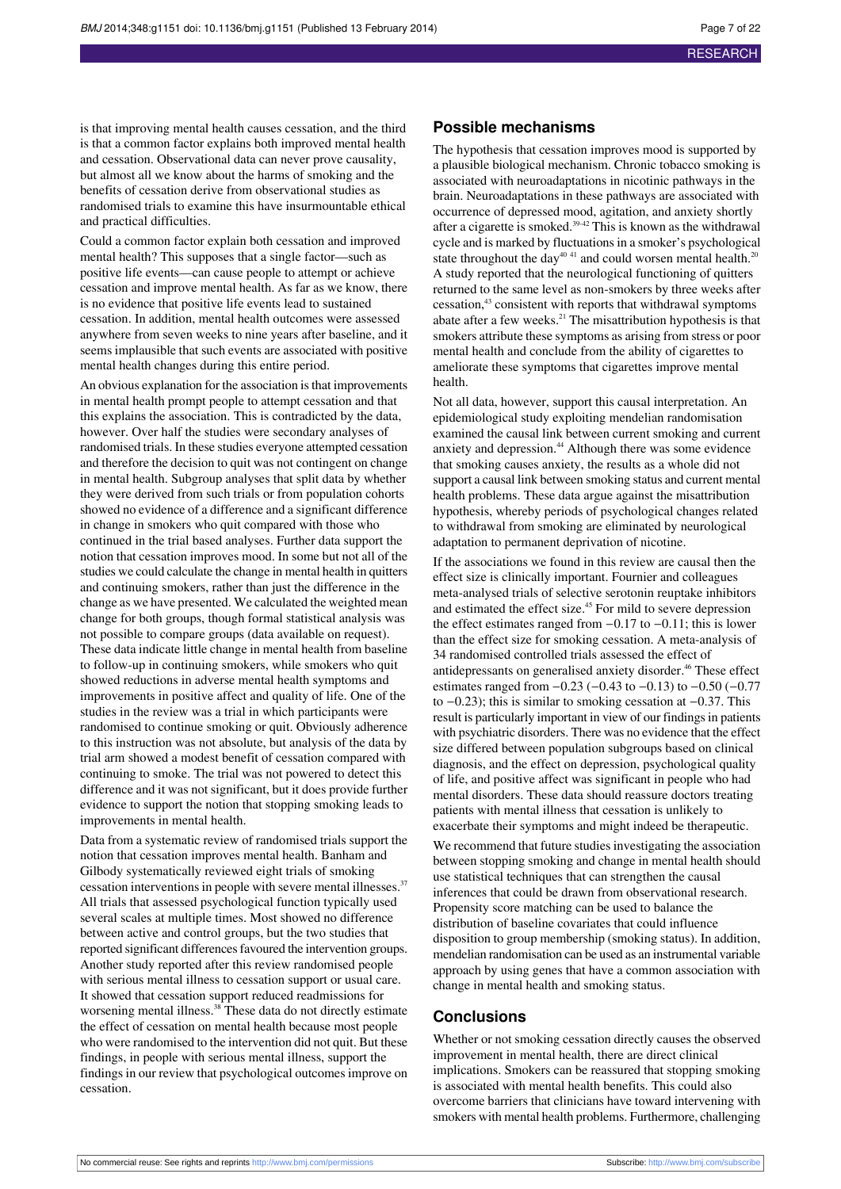is that improving mental health causes cessation, and the third is that a common factor explains both improved mental health and cessation. Observational data can never prove causality, but almost all we know about the harms of smoking and the benefits of cessation derive from observational studies as randomised trials to examine this have insurmountable ethical and practical difficulties.

Could a common factor explain both cessation and improved mental health? This supposes that a single factor—such as positive life events—can cause people to attempt or achieve cessation and improve mental health. As far as we know, there is no evidence that positive life events lead to sustained cessation. In addition, mental health outcomes were assessed anywhere from seven weeks to nine years after baseline, and it seems implausible that such events are associated with positive mental health changes during this entire period.

An obvious explanation for the association is that improvements in mental health prompt people to attempt cessation and that this explains the association. This is contradicted by the data, however. Over half the studies were secondary analyses of randomised trials. In these studies everyone attempted cessation and therefore the decision to quit was not contingent on change in mental health. Subgroup analyses that split data by whether they were derived from such trials or from population cohorts showed no evidence of a difference and a significant difference in change in smokers who quit compared with those who continued in the trial based analyses. Further data support the notion that cessation improves mood. In some but not all of the studies we could calculate the change in mental health in quitters and continuing smokers, rather than just the difference in the change as we have presented. We calculated the weighted mean change for both groups, though formal statistical analysis was not possible to compare groups (data available on request). These data indicate little change in mental health from baseline to follow-up in continuing smokers, while smokers who quit showed reductions in adverse mental health symptoms and improvements in positive affect and quality of life. One of the studies in the review was a trial in which participants were randomised to continue smoking or quit. Obviously adherence to this instruction was not absolute, but analysis of the data by trial arm showed a modest benefit of cessation compared with continuing to smoke. The trial was not powered to detect this difference and it was not significant, but it does provide further evidence to support the notion that stopping smoking leads to improvements in mental health.

Data from a systematic review of randomised trials support the notion that cessation improves mental health. Banham and Gilbody systematically reviewed eight trials of smoking cessation interventions in people with severe mental illnesses.<sup>37</sup> All trials that assessed psychological function typically used several scales at multiple times. Most showed no difference between active and control groups, but the two studies that reported significant differences favoured the intervention groups. Another study reported after this review randomised people with serious mental illness to cessation support or usual care. It showed that cessation support reduced readmissions for worsening mental illness.<sup>38</sup> These data do not directly estimate the effect of cessation on mental health because most people who were randomised to the intervention did not quit. But these findings, in people with serious mental illness, support the findings in our review that psychological outcomes improve on cessation.

#### **Possible mechanisms**

The hypothesis that cessation improves mood is supported by a plausible biological mechanism. Chronic tobacco smoking is associated with neuroadaptations in nicotinic pathways in the brain. Neuroadaptations in these pathways are associated with occurrence of depressed mood, agitation, and anxiety shortly after a cigarette is smoked.39-42 This is known as the withdrawal cycle and is marked by fluctuations in a smoker's psychological state throughout the day<sup>40 41</sup> and could worsen mental health.<sup>20</sup> A study reported that the neurological functioning of quitters returned to the same level as non-smokers by three weeks after cessation,<sup>43</sup> consistent with reports that withdrawal symptoms abate after a few weeks. $2<sup>1</sup>$  The misattribution hypothesis is that smokers attribute these symptoms as arising from stress or poor mental health and conclude from the ability of cigarettes to ameliorate these symptoms that cigarettes improve mental health.

Not all data, however, support this causal interpretation. An epidemiological study exploiting mendelian randomisation examined the causal link between current smoking and current anxiety and depression.<sup>44</sup> Although there was some evidence that smoking causes anxiety, the results as a whole did not support a causal link between smoking status and current mental health problems. These data argue against the misattribution hypothesis, whereby periods of psychological changes related to withdrawal from smoking are eliminated by neurological adaptation to permanent deprivation of nicotine.

If the associations we found in this review are causal then the effect size is clinically important. Fournier and colleagues meta-analysed trials of selective serotonin reuptake inhibitors and estimated the effect size.<sup>45</sup> For mild to severe depression the effect estimates ranged from −0.17 to −0.11; this is lower than the effect size for smoking cessation. A meta-analysis of 34 randomised controlled trials assessed the effect of antidepressants on generalised anxiety disorder.<sup>46</sup> These effect estimates ranged from −0.23 (−0.43 to −0.13) to −0.50 (−0.77 to −0.23); this is similar to smoking cessation at −0.37. This result is particularly important in view of our findings in patients with psychiatric disorders. There was no evidence that the effect size differed between population subgroups based on clinical diagnosis, and the effect on depression, psychological quality of life, and positive affect was significant in people who had mental disorders. These data should reassure doctors treating patients with mental illness that cessation is unlikely to exacerbate their symptoms and might indeed be therapeutic.

We recommend that future studies investigating the association between stopping smoking and change in mental health should use statistical techniques that can strengthen the causal inferences that could be drawn from observational research. Propensity score matching can be used to balance the distribution of baseline covariates that could influence disposition to group membership (smoking status). In addition, mendelian randomisation can be used as an instrumental variable approach by using genes that have a common association with change in mental health and smoking status.

#### **Conclusions**

Whether or not smoking cessation directly causes the observed improvement in mental health, there are direct clinical implications. Smokers can be reassured that stopping smoking is associated with mental health benefits. This could also overcome barriers that clinicians have toward intervening with smokers with mental health problems. Furthermore, challenging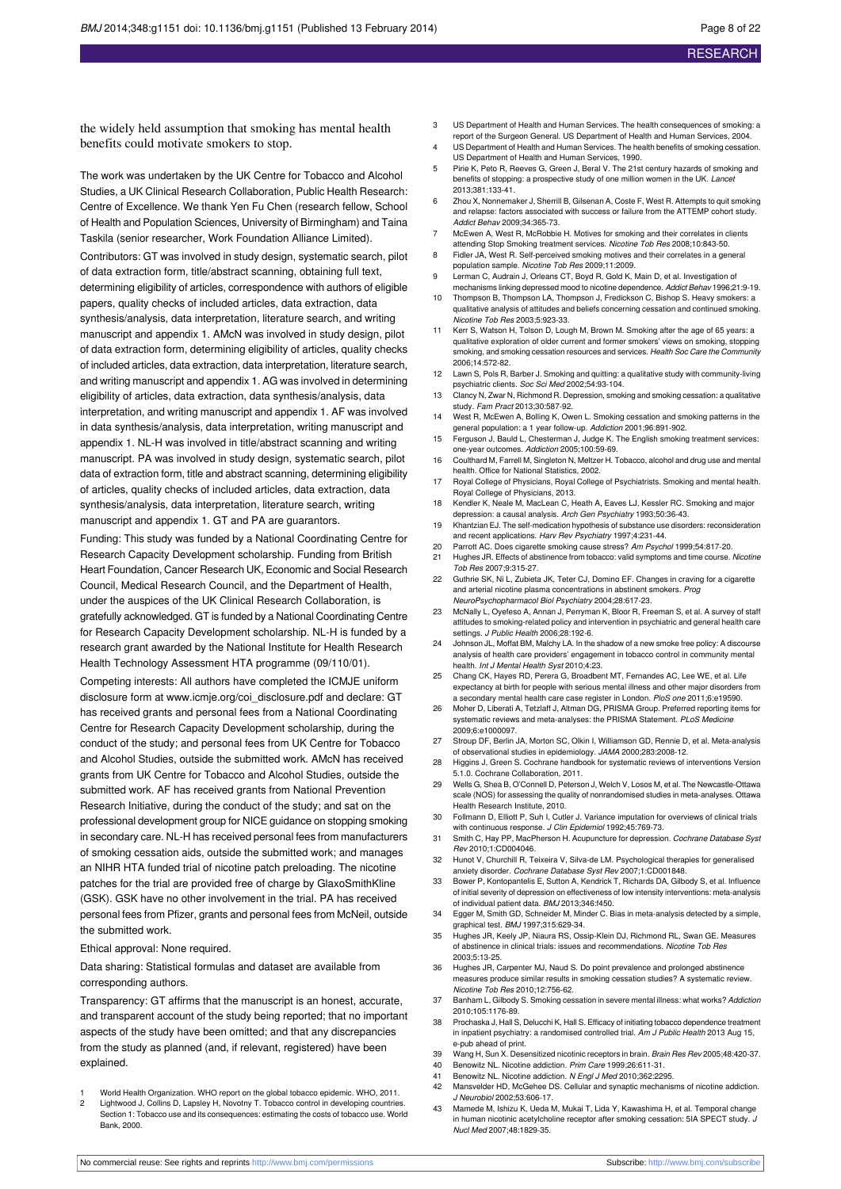the widely held assumption that smoking has mental health benefits could motivate smokers to stop.

The work was undertaken by the UK Centre for Tobacco and Alcohol Studies, a UK Clinical Research Collaboration, Public Health Research: Centre of Excellence. We thank Yen Fu Chen (research fellow, School of Health and Population Sciences, University of Birmingham) and Taina Taskila (senior researcher, Work Foundation Alliance Limited).

Contributors: GT was involved in study design, systematic search, pilot of data extraction form, title/abstract scanning, obtaining full text, determining eligibility of articles, correspondence with authors of eligible papers, quality checks of included articles, data extraction, data synthesis/analysis, data interpretation, literature search, and writing manuscript and appendix 1. AMcN was involved in study design, pilot of data extraction form, determining eligibility of articles, quality checks of included articles, data extraction, data interpretation, literature search, and writing manuscript and appendix 1. AG was involved in determining eligibility of articles, data extraction, data synthesis/analysis, data interpretation, and writing manuscript and appendix 1. AF was involved in data synthesis/analysis, data interpretation, writing manuscript and appendix 1. NL-H was involved in title/abstract scanning and writing manuscript. PA was involved in study design, systematic search, pilot data of extraction form, title and abstract scanning, determining eligibility of articles, quality checks of included articles, data extraction, data synthesis/analysis, data interpretation, literature search, writing manuscript and appendix 1. GT and PA are guarantors.

Funding: This study was funded by a National Coordinating Centre for Research Capacity Development scholarship. Funding from British Heart Foundation, Cancer Research UK, Economic and Social Research Council, Medical Research Council, and the Department of Health, under the auspices of the UK Clinical Research Collaboration, is gratefully acknowledged. GT is funded by a National Coordinating Centre for Research Capacity Development scholarship. NL-H is funded by a research grant awarded by the National Institute for Health Research Health Technology Assessment HTA programme (09/110/01).

Competing interests: All authors have completed the ICMJE uniform disclosure form at [www.icmje.org/coi\\_disclosure.pdf](http://www.icmje.org/coi_disclosure.pdf) and declare: GT has received grants and personal fees from a National Coordinating Centre for Research Capacity Development scholarship, during the conduct of the study; and personal fees from UK Centre for Tobacco and Alcohol Studies, outside the submitted work. AMcN has received grants from UK Centre for Tobacco and Alcohol Studies, outside the submitted work. AF has received grants from National Prevention Research Initiative, during the conduct of the study; and sat on the professional development group for NICE guidance on stopping smoking in secondary care. NL-H has received personal fees from manufacturers of smoking cessation aids, outside the submitted work; and manages an NIHR HTA funded trial of nicotine patch preloading. The nicotine patches for the trial are provided free of charge by GlaxoSmithKline (GSK). GSK have no other involvement in the trial. PA has received personal fees from Pfizer, grants and personal fees from McNeil, outside the submitted work.

Ethical approval: None required.

Data sharing: Statistical formulas and dataset are available from corresponding authors.

Transparency: GT affirms that the manuscript is an honest, accurate, and transparent account of the study being reported; that no important aspects of the study have been omitted; and that any discrepancies from the study as planned (and, if relevant, registered) have been explained.

World Health Organization. WHO report on the global tobacco epidemic. WHO, 2011. 2 Lightwood J, Collins D, Lapsley H, Novotny T. Tobacco control in developing countries. Section 1: Tobacco use and its consequences: estimating the costs of tobacco use. World Bank, 2000.

- 3 US Department of Health and Human Services. The health consequences of smoking: a report of the Surgeon General. US Department of Health and Human Services, 2004.
- US Department of Health and Human Services. The health benefits of smoking cessation US Department of Health and Human Services, 1990.
- 5 Pirie K, Peto R, Reeves G, Green J, Beral V. The 21st century hazards of smoking and benefits of stopping: a prospective study of one million women in the UK. Lancet 2013;381:133-41.
- 6 Zhou X, Nonnemaker J, Sherrill B, Gilsenan A, Coste F, West R. Attempts to quit smoking and relapse: factors associated with success or failure from the ATTEMP cohort study. Addict Behav 2009;34:365-73.
- McEwen A, West R, McRobbie H. Motives for smoking and their correlates in clients attending Stop Smoking treatment services. Nicotine Tob Res 2008;10:843-50.
- 8 Fidler JA, West R. Self-perceived smoking motives and their correlates in a general population sample. Nicotine Tob Res 2009;11:2009.
- 9 Lerman C, Audrain J, Orleans CT, Boyd R, Gold K, Main D, et al. Investigation of mechanisms linking depressed mood to nicotine dependence. Addict Behav 1996;21:9-19.
- 10 Thompson B, Thompson LA, Thompson J, Fredickson C, Bishop S. Heavy smokers: a qualitative analysis of attitudes and beliefs concerning cessation and continued smoking. Nicotine Tob Res 2003;5:923-33.
- 11 Kerr S, Watson H, Tolson D, Lough M, Brown M. Smoking after the age of 65 years: a qualitative exploration of older current and former smokers' views on smoking, stopping smoking, and smoking cessation resources and services. Health Soc Care the Com 2006;14:572-82.
- 12 Lawn S, Pols R, Barber J. Smoking and quitting: a qualitative study with community-living psychiatric clients. Soc Sci Med 2002;54:93-104.
- 13 Clancy N, Zwar N, Richmond R. Depression, smoking and smoking cessation: a qualitative study. Fam Pract 2013;30:587-92.
- 14 West R, McEwen A, Bolling K, Owen L. Smoking cessation and smoking patterns in the eneral population: a 1 year follow-up. Addiction 2001;96:891-902.
- 15 Ferguson J, Bauld L, Chesterman J, Judge K. The English smoking treatment services: one-year outcomes. Addiction 2005;100:59-69.
- 16 Coulthard M, Farrell M, Singleton N, Meltzer H. Tobacco, alcohol and drug use and mental health. Office for National Statistics, 2002.
- 17 Royal College of Physicians, Royal College of Psychiatrists. Smoking and mental health. Royal College of Physicians, 2013.
- 18 Kendler K, Neale M, MacLean C, Heath A, Eaves LJ, Kessler RC. Smoking and major depression: a causal analysis. Arch Gen Psychiatry 1993;50:36-43.
- 19 Khantzian EJ. The self-medication hypothesis of substance use disorders: reconsideration and recent applications. Harv Rev Psychiatry 1997;4:231-44.
- 20 Parrott AC. Does cigarette smoking cause stress? Am Psychol 1999;54:817-20.
	- 21 Hughes JR. Effects of abstinence from tobacco: valid symptoms and time course. Nicotine Tob Res 2007;9:315-27.
	- 22 Guthrie SK, Ni L, Zubieta JK, Teter CJ, Domino EF. Changes in craving for a cigarette and arterial nicotine plasma concentrations in abstinent smokers. Prog NeuroPsychopharmacol Biol Psychiatry 2004;28:617-23.
	- 23 McNally L, Oyefeso A, Annan J, Perryman K, Bloor R, Freeman S, et al. A survey of staff attitudes to smoking-related policy and intervention in psychiatric and general health care settings. J Public Health 2006;28:192-6.
	- 24 Johnson JL, Moffat BM, Malchy LA. In the shadow of a new smoke free policy: A discourse analysis of health care providers' engagement in tobacco control in community mental health. Int J Mental Health Syst 2010;4:23.
	- 25 Chang CK, Hayes RD, Perera G, Broadbent MT, Fernandes AC, Lee WE, et al. Life expectancy at birth for people with serious mental illness and other major disorders from a secondary mental health care case register in London. PloS one 2011;6:e19590.
	- 26 Moher D, Liberati A, Tetzlaff J, Altman DG, PRISMA Group. Preferred reporting items for systematic reviews and meta-analyses: the PRISMA Statement. PLoS Medicine 2009;6:e1000097.
- 27 Stroup DF, Berlin JA, Morton SC, Olkin I, Williamson GD, Rennie D, et al. Meta-analysis of observational studies in epidemiology. JAMA 2000;283:2008-12.
- 28 Higgins J, Green S. Cochrane handbook for systematic reviews of interventions Version 5.1.0. Cochrane Collaboration, 2011.
- 29 Wells G, Shea B, O'Connell D, Peterson J, Welch V, Losos M, et al. The Newcastle-Ottawa scale (NOS) for assessing the quality of nonrandomised studies in meta-analyses. Ottawa Health Research Institute, 2010.
- 30 Follmann D, Elliott P, Suh I, Cutler J. Variance imputation for overviews of clinical trials with continuous response. J Clin Epidemiol 1992;45:769-73.
- 31 Smith C, Hay PP, MacPherson H. Acupuncture for depression. Cochrane Database Syst Rev 2010;1:CD004046.
- 32 Hunot V, Churchill R, Teixeira V, Silva-de LM. Psychological therapies for generalised anxiety disorder. Cochrane Database Syst Rev 2007;1:CD001848.
- 33 Bower P, Kontopantelis E, Sutton A, Kendrick T, Richards DA, Gilbody S, et al. Influence of initial severity of depression on effectiveness of low intensity interventions: meta-analysis of individual patient data. BMJ 2013;346:f450.
- 34 Egger M, Smith GD, Schneider M, Minder C. Bias in meta-analysis detected by a simple, graphical test. BMJ 1997;315:629-34.
- 35 Hughes JR, Keely JP, Niaura RS, Ossip-Klein DJ, Richmond RL, Swan GE. Measures of abstinence in clinical trials: issues and recommendations. Nicotine Tob Res 2003;5:13-25.
- 36 Hughes JR, Carpenter MJ, Naud S. Do point prevalence and prolonged abstinence measures produce similar results in smoking cessation studies? A systematic review. Nicotine Tob Res 2010;12:756-62.
- 37 Banham L, Gilbody S. Smoking cessation in severe mental illness: what works? Addiction 2010;105:1176-89.
- 38 Prochaska J, Hall S, Delucchi K, Hall S. Efficacy of initiating tobacco depender in inpatient psychiatry: a randomised controlled trial. Am J Public Health 2013 Aug 15, e-pub ahead of print.
- 39 Wang H, Sun X. Desensitized nicotinic receptors in brain. Brain Res Rev 2005;48:420-37.
- 40 Benowitz NL. Nicotine addiction. Prim Care 1999;26:611-31.<br>41 Benowitz NL. Nicotine addiction. N Engl J Med 2010:362:22
- 41 Benowitz NL. Nicotine addiction. N Engl J Med 2010;362:2295.<br>42 Mansvelder HD, McGehee DS, Cellular and synaptic mechanis
- 42 Mansvelder HD, McGehee DS. Cellular and synaptic mechanisms of nicotine addiction. J Neurobiol 2002;53:606-17.
- 43 Mamede M, Ishizu K, Ueda M, Mukai T, Lida Y, Kawashima H, et al. Temporal change in human nicotinic acetylcholine receptor after smoking cessation: 5IA SPECT study. J Nucl Med 2007;48:1829-35.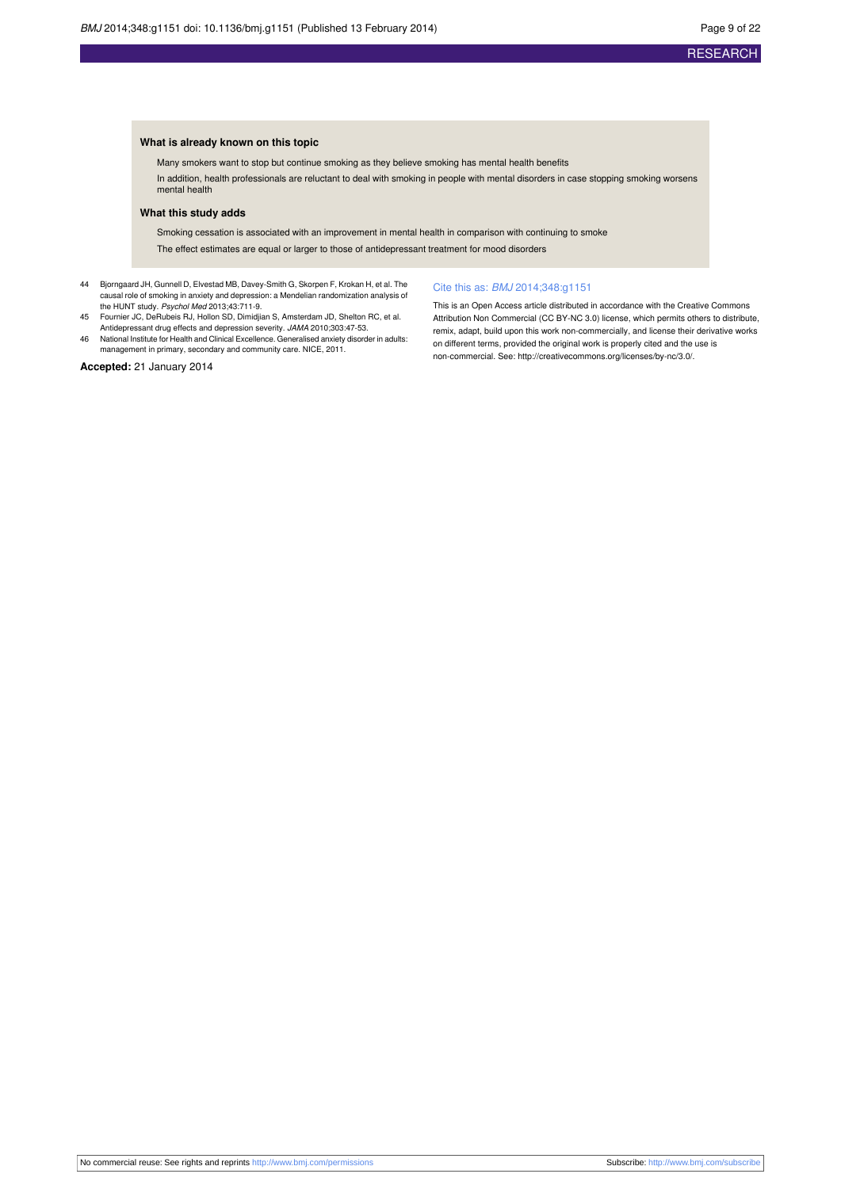#### **What is already known on this topic**

Many smokers want to stop but continue smoking as they believe smoking has mental health benefits In addition, health professionals are reluctant to deal with smoking in people with mental disorders in case stopping smoking worsens mental health

#### **What this study adds**

Smoking cessation is associated with an improvement in mental health in comparison with continuing to smoke

The effect estimates are equal or larger to those of antidepressant treatment for mood disorders

- 44 Bjorngaard JH, Gunnell D, Elvestad MB, Davey-Smith G, Skorpen F, Krokan H, et al. The causal role of smoking in anxiety and depression: a Mendelian randomization analysis of<br>the HUNT study. *Psychol Med* 2013;43:711-9.
- 45 Fournier JC, DeRubeis RJ, Hollon SD, Dimidjian S, Amsterdam JD, Shelton RC, et al. Antidepressant drug effects and depression severity. JAMA 2010;303:47-53.
- 46 National Institute for Health and Clinical Excellence. Generalised anxiety disorder in adults: management in primary, secondary and community care. NICE, 2011.

**Accepted:** 21 January 2014

#### Cite this as: BMJ 2014;348:g1151

This is an Open Access article distributed in accordance with the Creative Commons Attribution Non Commercial (CC BY-NC 3.0) license, which permits others to distribute, remix, adapt, build upon this work non-commercially, and license their derivative works on different terms, provided the original work is properly cited and the use is non-commercial. See:<http://creativecommons.org/licenses/by-nc/3.0/>.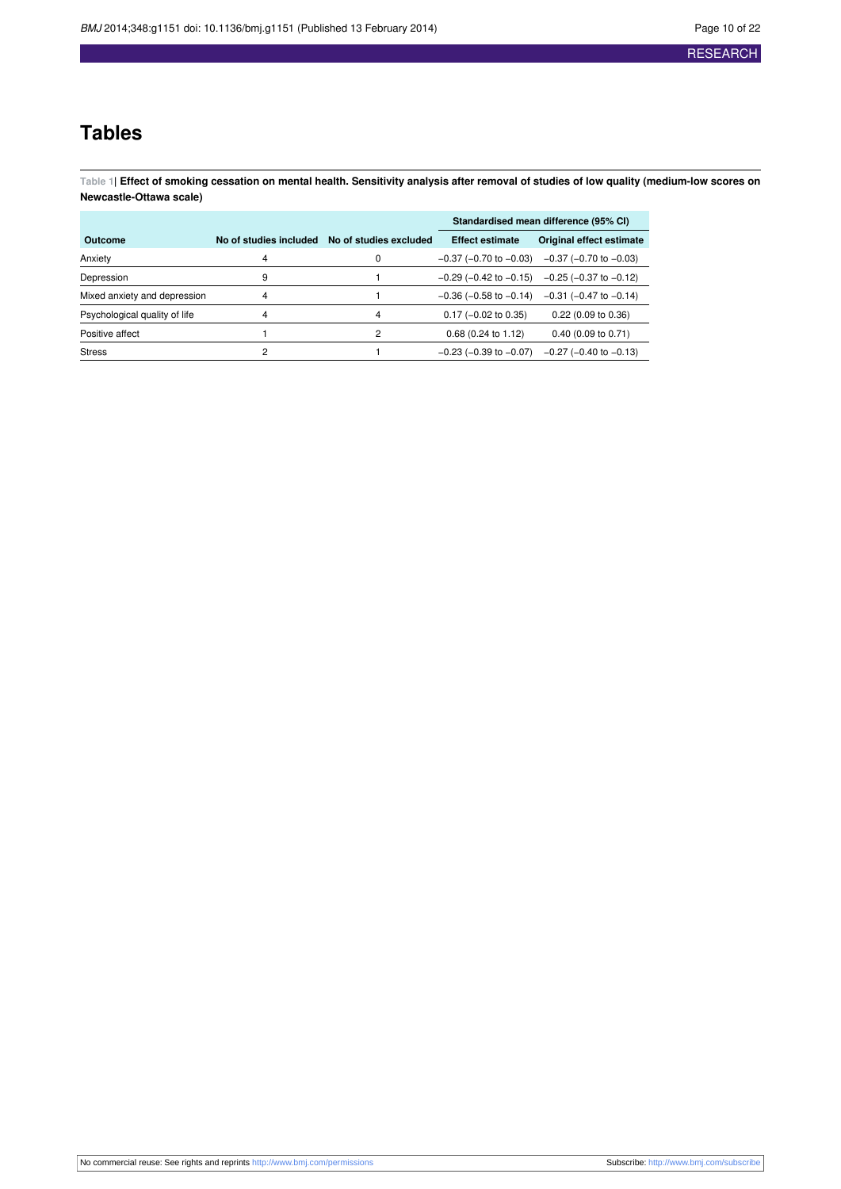# **Tables**

<span id="page-9-0"></span>**Table 1| Effect of smoking cessation on mental health. Sensitivity analysis after removal of studies of low quality (medium-low scores on Newcastle-Ottawa scale)**

|                        |                        | Standardised mean difference (95% CI) |                                |  |
|------------------------|------------------------|---------------------------------------|--------------------------------|--|
| No of studies included | No of studies excluded | <b>Effect estimate</b>                | Original effect estimate       |  |
| 4                      | 0                      | $-0.37$ ( $-0.70$ to $-0.03$ )        | $-0.37$ ( $-0.70$ to $-0.03$ ) |  |
| 9                      |                        | $-0.29$ ( $-0.42$ to $-0.15$ )        | $-0.25$ ( $-0.37$ to $-0.12$ ) |  |
| 4                      |                        | $-0.36$ ( $-0.58$ to $-0.14$ )        | $-0.31$ ( $-0.47$ to $-0.14$ ) |  |
| 4                      | 4                      | $0.17$ (-0.02 to 0.35)                | $0.22$ (0.09 to 0.36)          |  |
|                        | 2                      | $0.68$ (0.24 to 1.12)                 | $0.40$ (0.09 to 0.71)          |  |
| 2                      |                        | $-0.23$ ( $-0.39$ to $-0.07$ )        | $-0.27$ ( $-0.40$ to $-0.13$ ) |  |
|                        |                        |                                       |                                |  |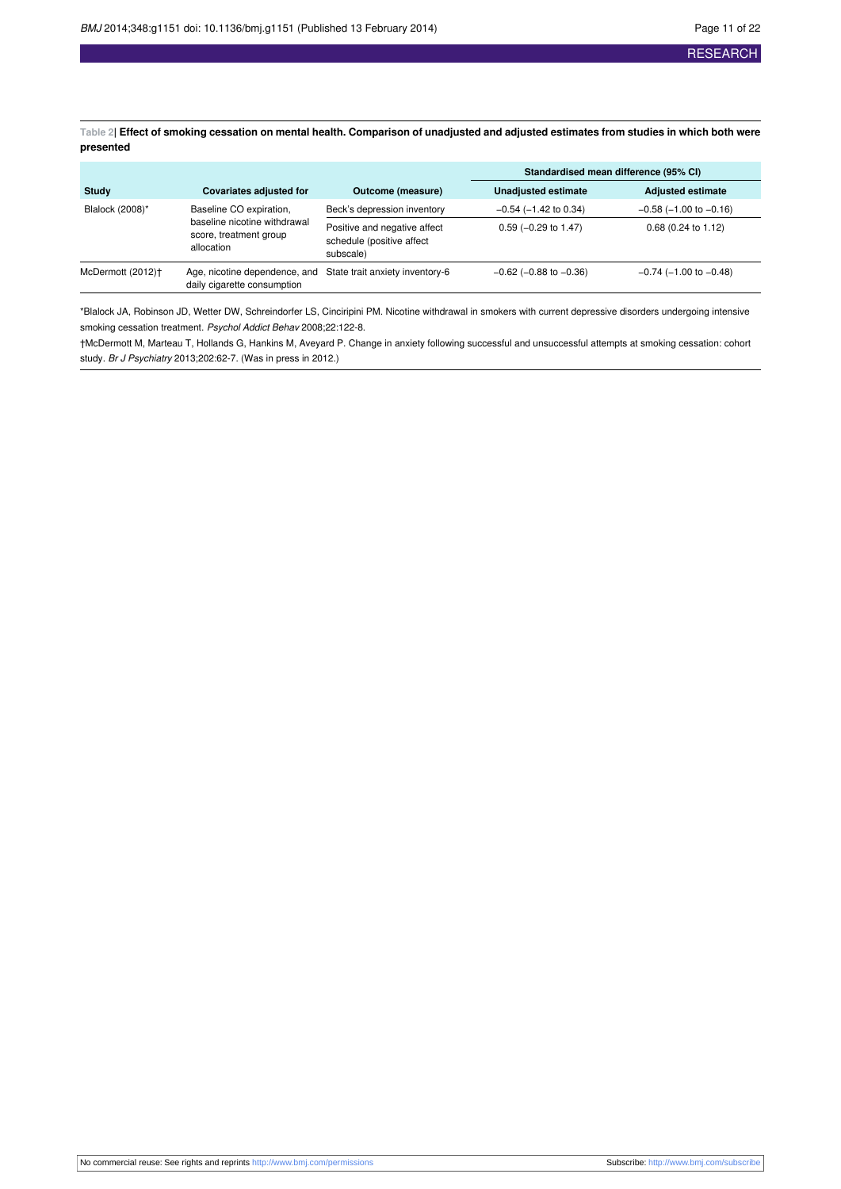<span id="page-10-0"></span>**Table 2| Effect of smoking cessation on mental health. Comparison of unadjusted and adjusted estimates from studies in which both were presented**

|                                                                                                                    |                                                                        |                                 |                                | Standardised mean difference (95% CI) |
|--------------------------------------------------------------------------------------------------------------------|------------------------------------------------------------------------|---------------------------------|--------------------------------|---------------------------------------|
| <b>Covariates adjusted for</b><br><b>Study</b>                                                                     |                                                                        | Outcome (measure)               | <b>Unadjusted estimate</b>     | <b>Adjusted estimate</b>              |
| Blalock (2008)*<br>Baseline CO expiration,<br>baseline nicotine withdrawal<br>score, treatment group<br>allocation | Beck's depression inventory                                            | $-0.54$ ( $-1.42$ to 0.34)      | $-0.58$ ( $-1.00$ to $-0.16$ ) |                                       |
|                                                                                                                    | Positive and negative affect<br>schedule (positive affect<br>subscale) | $0.59$ (-0.29 to 1.47)          | $0.68$ (0.24 to 1.12)          |                                       |
| McDermott (2012) <sup>+</sup>                                                                                      | Age, nicotine dependence, and<br>daily cigarette consumption           | State trait anxiety inventory-6 | $-0.62$ ( $-0.88$ to $-0.36$ ) | $-0.74$ ( $-1.00$ to $-0.48$ )        |

\*Blalock JA, Robinson JD, Wetter DW, Schreindorfer LS, Cinciripini PM. Nicotine withdrawal in smokers with current depressive disorders undergoing intensive smoking cessation treatment. Psychol Addict Behav 2008;22:122-8.

†McDermott M, Marteau T, Hollands G, Hankins M, Aveyard P. Change in anxiety following successful and unsuccessful attempts at smoking cessation: cohort study. Br J Psychiatry 2013;202:62-7. (Was in press in 2012.)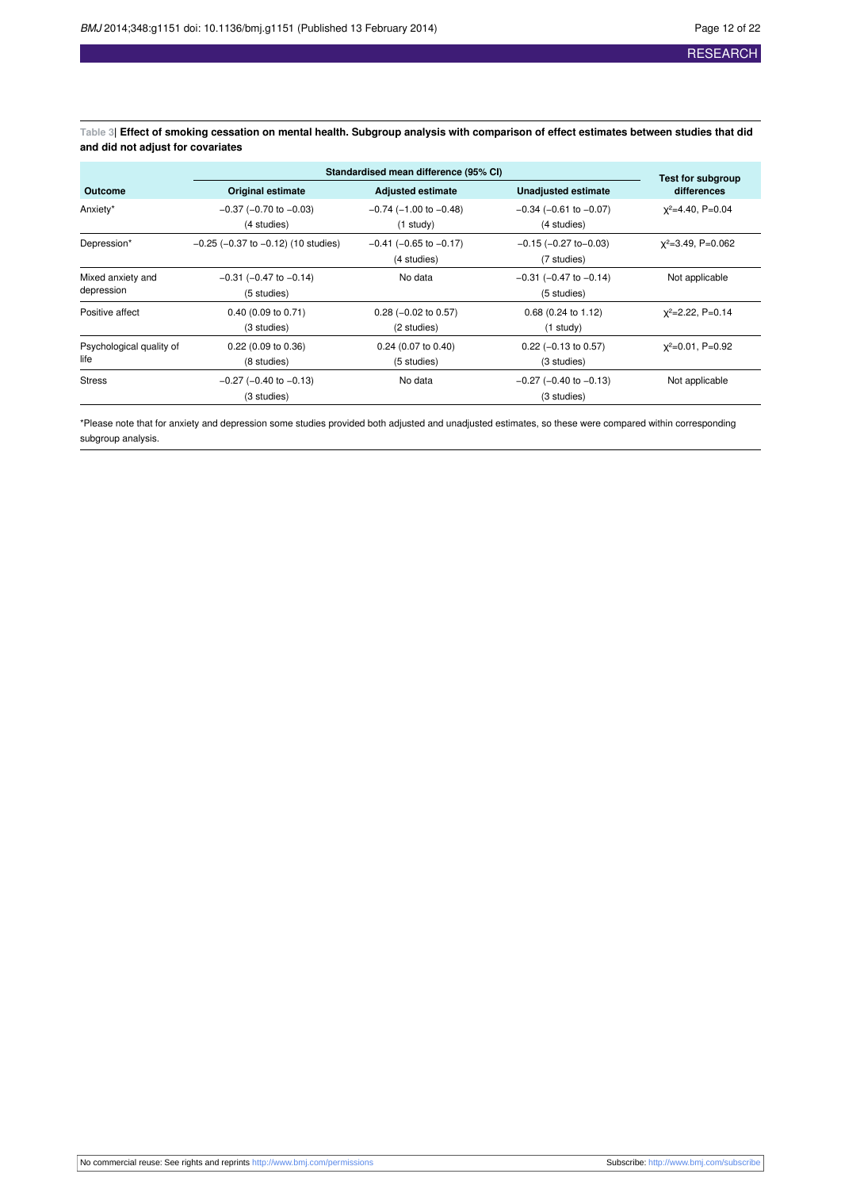<span id="page-11-0"></span>**Table 3| Effect of smoking cessation on mental health. Subgroup analysis with comparison of effect estimates between studies that did and did not adjust for covariates**

|                          | Standardised mean difference (95% CI)       | Test for subgroup              |                                |                        |
|--------------------------|---------------------------------------------|--------------------------------|--------------------------------|------------------------|
| <b>Outcome</b>           | <b>Original estimate</b>                    | <b>Adjusted estimate</b>       | Unadjusted estimate            | differences            |
| Anxiety*                 | $-0.37$ ( $-0.70$ to $-0.03$ )              | $-0.74$ ( $-1.00$ to $-0.48$ ) | $-0.34$ ( $-0.61$ to $-0.07$ ) | $x^2 = 4.40$ , P=0.04  |
|                          | (4 studies)                                 | $(1$ study)                    | (4 studies)                    |                        |
| Depression*              | $-0.25$ ( $-0.37$ to $-0.12$ ) (10 studies) | $-0.41$ ( $-0.65$ to $-0.17$ ) | $-0.15$ ( $-0.27$ to $-0.03$ ) | $x^2 = 3.49$ , P=0.062 |
|                          |                                             | (4 studies)                    | (7 studies)                    |                        |
| Mixed anxiety and        | $-0.31$ ( $-0.47$ to $-0.14$ )              | No data                        | $-0.31$ ( $-0.47$ to $-0.14$ ) | Not applicable         |
| depression               | (5 studies)                                 |                                | (5 studies)                    |                        |
| Positive affect          | $0.40$ (0.09 to 0.71)                       | $0.28$ (-0.02 to 0.57)         | $0.68$ (0.24 to 1.12)          | $x^2 = 2.22$ , P=0.14  |
|                          | (3 studies)                                 | (2 studies)                    | $(1$ study)                    |                        |
| Psychological quality of | $0.22$ (0.09 to 0.36)                       | $0.24$ (0.07 to 0.40)          | $0.22$ (-0.13 to 0.57)         | $x^2=0.01$ , P=0.92    |
| life                     | (8 studies)                                 | (5 studies)                    | (3 studies)                    |                        |
| <b>Stress</b>            | $-0.27$ ( $-0.40$ to $-0.13$ )              | No data                        | $-0.27$ ( $-0.40$ to $-0.13$ ) | Not applicable         |
|                          | (3 studies)                                 |                                | (3 studies)                    |                        |

\*Please note that for anxiety and depression some studies provided both adjusted and unadjusted estimates, so these were compared within corresponding subgroup analysis.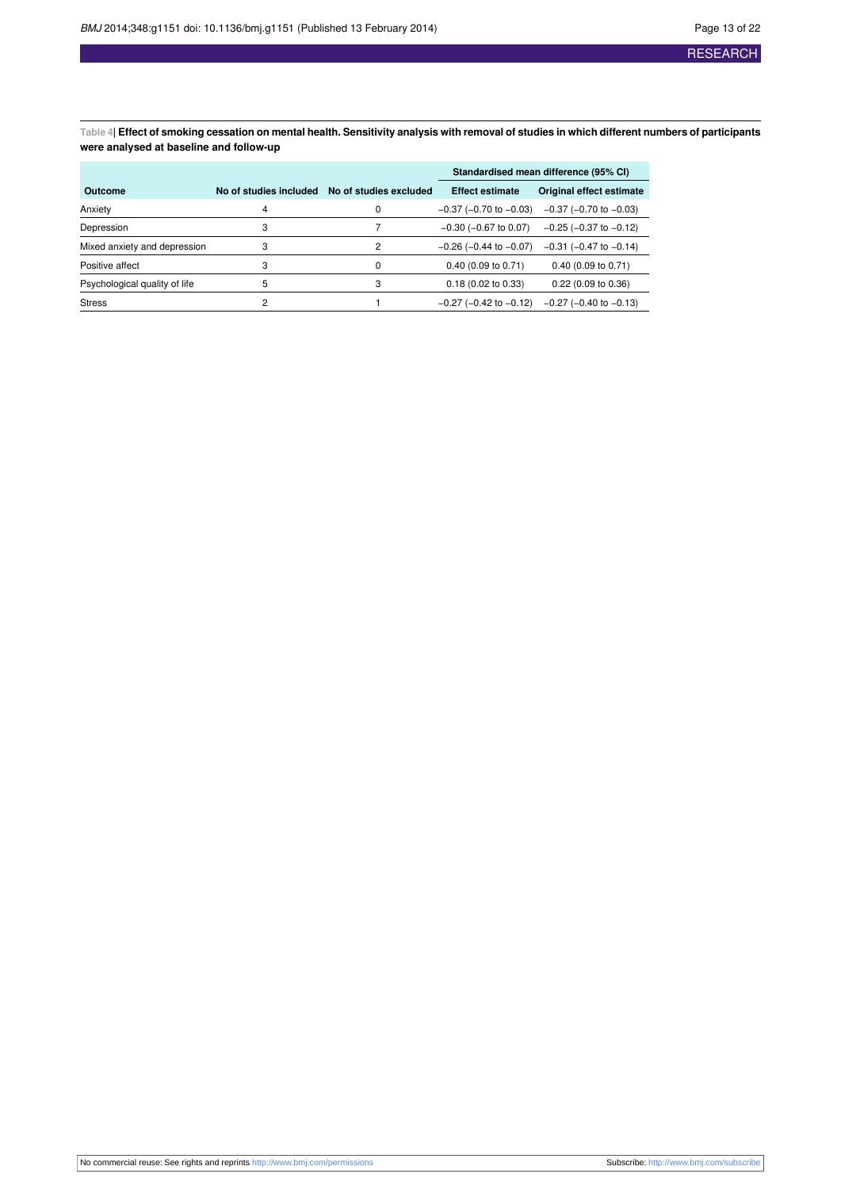<span id="page-12-0"></span>**Table 4| Effect of smoking cessation on mental health. Sensitivity analysis with removal of studies in which different numbers of participants were analysed at baseline and follow-up**

|                               |                        |                        | Standardised mean difference (95% CI) |                                |  |
|-------------------------------|------------------------|------------------------|---------------------------------------|--------------------------------|--|
| Outcome                       | No of studies included | No of studies excluded | <b>Effect estimate</b>                | Original effect estimate       |  |
| Anxiety                       | 4                      | 0                      | $-0.37$ ( $-0.70$ to $-0.03$ )        | $-0.37$ ( $-0.70$ to $-0.03$ ) |  |
| Depression                    | 3                      |                        | $-0.30$ ( $-0.67$ to 0.07)            | $-0.25$ ( $-0.37$ to $-0.12$ ) |  |
| Mixed anxiety and depression  | 3                      | 2                      | $-0.26$ ( $-0.44$ to $-0.07$ )        | $-0.31$ ( $-0.47$ to $-0.14$ ) |  |
| Positive affect               | 3                      | $\Omega$               | $0.40$ (0.09 to 0.71)                 | $0.40$ (0.09 to 0.71)          |  |
| Psychological quality of life | 5                      | 3                      | $0.18$ (0.02 to 0.33)                 | $0.22$ (0.09 to 0.36)          |  |
| <b>Stress</b>                 | 2                      |                        | $-0.27$ ( $-0.42$ to $-0.12$ )        | $-0.27$ ( $-0.40$ to $-0.13$ ) |  |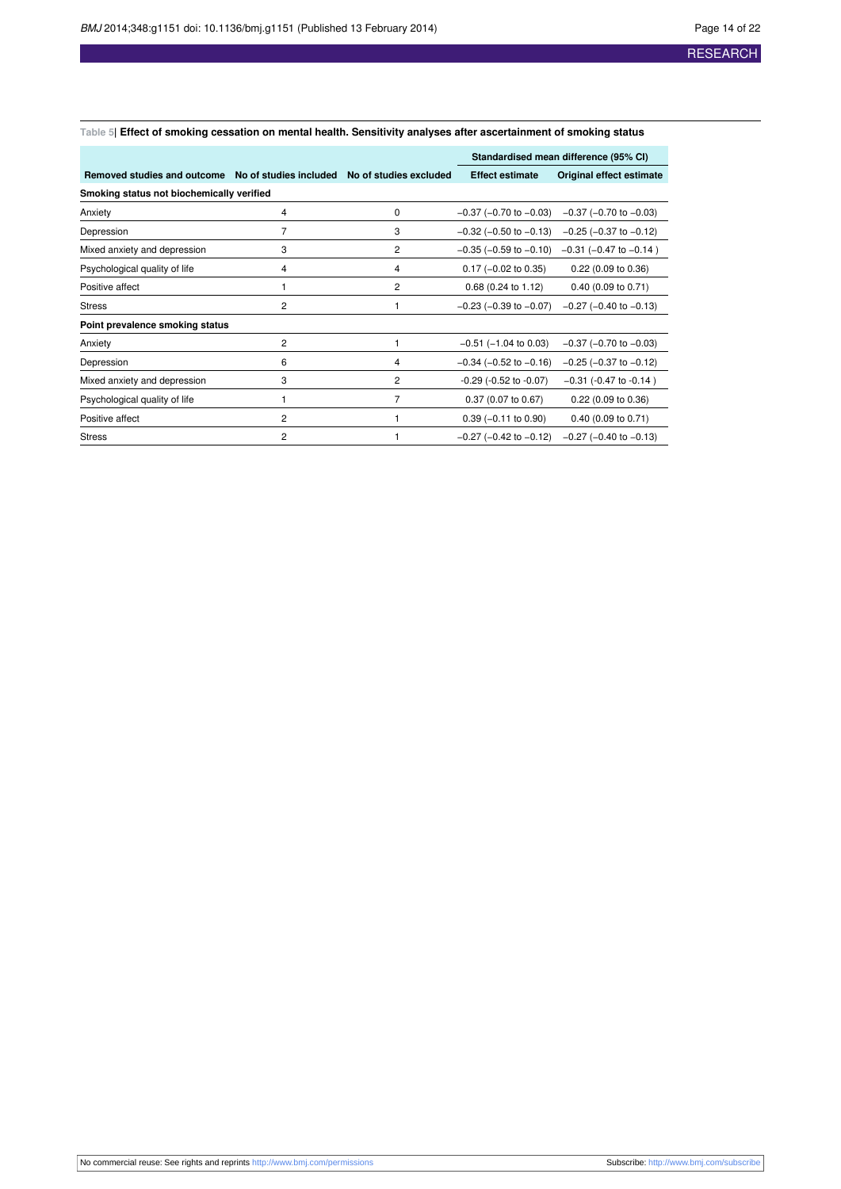<span id="page-13-0"></span>**Table 5| Effect of smoking cessation on mental health. Sensitivity analyses after ascertainment of smoking status**

|                                           |                        |                        |                                | Standardised mean difference (95% CI) |
|-------------------------------------------|------------------------|------------------------|--------------------------------|---------------------------------------|
| Removed studies and outcome               | No of studies included | No of studies excluded | <b>Effect estimate</b>         | Original effect estimate              |
| Smoking status not biochemically verified |                        |                        |                                |                                       |
| Anxiety                                   | 4                      | $\mathbf 0$            | $-0.37$ ( $-0.70$ to $-0.03$ ) | $-0.37$ ( $-0.70$ to $-0.03$ )        |
| Depression                                | 7                      | 3                      | $-0.32$ ( $-0.50$ to $-0.13$ ) | $-0.25$ ( $-0.37$ to $-0.12$ )        |
| Mixed anxiety and depression              | 3                      | $\overline{c}$         | $-0.35$ ( $-0.59$ to $-0.10$ ) | $-0.31$ ( $-0.47$ to $-0.14$ )        |
| Psychological quality of life             | 4                      | 4                      | $0.17$ (-0.02 to 0.35)         | 0.22 (0.09 to 0.36)                   |
| Positive affect                           |                        | $\overline{c}$         | $0.68$ (0.24 to 1.12)          | 0.40 (0.09 to 0.71)                   |
| <b>Stress</b>                             | 2                      | 1                      | $-0.23$ ( $-0.39$ to $-0.07$ ) | $-0.27$ ( $-0.40$ to $-0.13$ )        |
| Point prevalence smoking status           |                        |                        |                                |                                       |
| Anxiety                                   | 2                      | 1                      | $-0.51$ ( $-1.04$ to 0.03)     | $-0.37$ ( $-0.70$ to $-0.03$ )        |
| Depression                                | 6                      | 4                      | $-0.34$ ( $-0.52$ to $-0.16$ ) | $-0.25$ ( $-0.37$ to $-0.12$ )        |
| Mixed anxiety and depression              | 3                      | 2                      | $-0.29$ ( $-0.52$ to $-0.07$ ) | $-0.31$ ( $-0.47$ to $-0.14$ )        |
| Psychological quality of life             |                        | 7                      | 0.37 (0.07 to 0.67)            | 0.22 (0.09 to 0.36)                   |
| Positive affect                           | 2                      | 1                      | $0.39$ (-0.11 to 0.90)         | 0.40 (0.09 to 0.71)                   |
| <b>Stress</b>                             | 2                      |                        | $-0.27$ ( $-0.42$ to $-0.12$ ) | $-0.27$ ( $-0.40$ to $-0.13$ )        |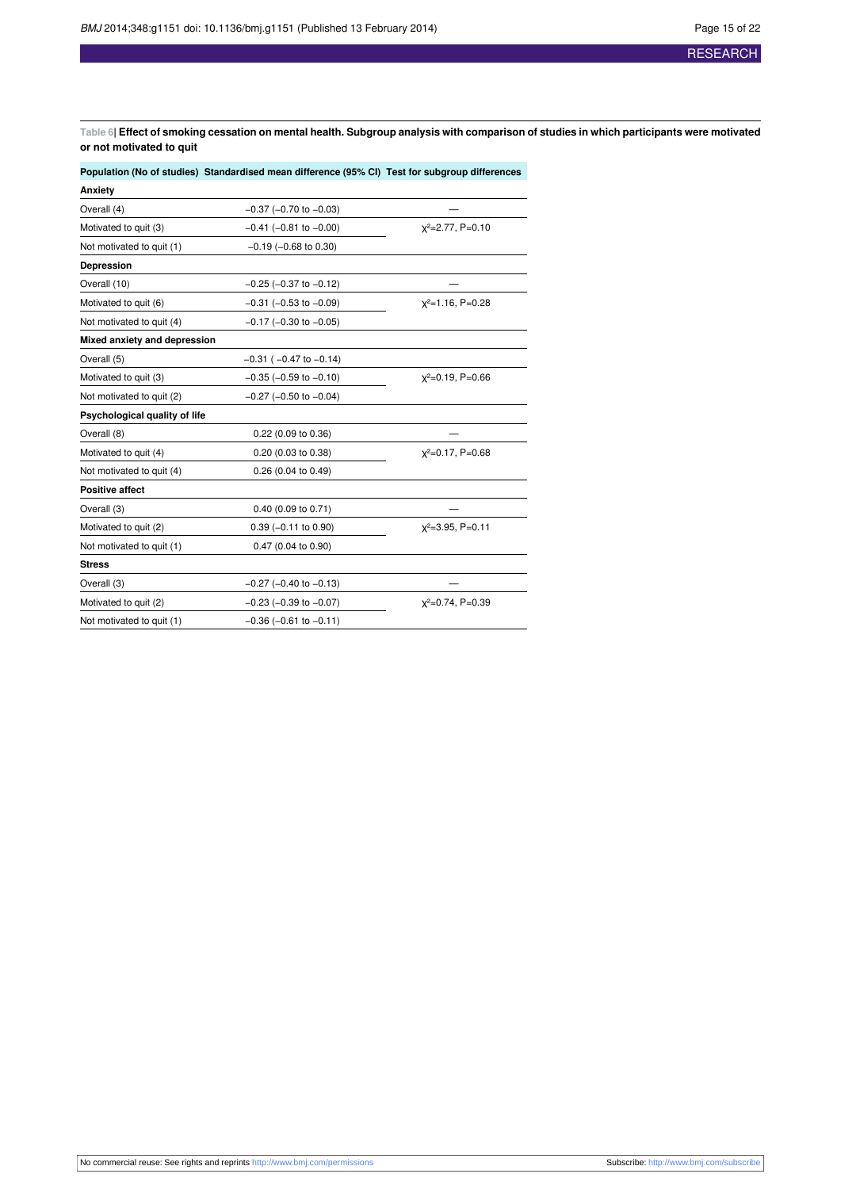<span id="page-14-0"></span>**Table 6| Effect of smoking cessation on mental health. Subgroup analysis with comparison of studies in which participants were motivated or not motivated to quit**

|                               | Population (No of studies) Standardised mean difference (95% CI) Test for subgroup differences |                     |
|-------------------------------|------------------------------------------------------------------------------------------------|---------------------|
| Anxiety                       |                                                                                                |                     |
| Overall (4)                   | $-0.37$ ( $-0.70$ to $-0.03$ )                                                                 |                     |
| Motivated to quit (3)         | $-0.41$ ( $-0.81$ to $-0.00$ )                                                                 | $x^2=2.77$ , P=0.10 |
| Not motivated to quit (1)     | $-0.19$ ( $-0.68$ to 0.30)                                                                     |                     |
| Depression                    |                                                                                                |                     |
| Overall (10)                  | $-0.25$ ( $-0.37$ to $-0.12$ )                                                                 |                     |
| Motivated to quit (6)         | $-0.31$ ( $-0.53$ to $-0.09$ )                                                                 | $x^2=1.16$ , P=0.28 |
| Not motivated to quit (4)     | $-0.17$ ( $-0.30$ to $-0.05$ )                                                                 |                     |
| Mixed anxiety and depression  |                                                                                                |                     |
| Overall (5)                   | $-0.31$ ( $-0.47$ to $-0.14$ )                                                                 |                     |
| Motivated to quit (3)         | $-0.35$ ( $-0.59$ to $-0.10$ )                                                                 | $x^2=0.19$ , P=0.66 |
| Not motivated to quit (2)     | $-0.27$ ( $-0.50$ to $-0.04$ )                                                                 |                     |
| Psychological quality of life |                                                                                                |                     |
| Overall (8)                   | 0.22 (0.09 to 0.36)                                                                            |                     |
| Motivated to quit (4)         | 0.20 (0.03 to 0.38)                                                                            | $x^2=0.17$ , P=0.68 |
| Not motivated to quit (4)     | 0.26 (0.04 to 0.49)                                                                            |                     |
| <b>Positive affect</b>        |                                                                                                |                     |
| Overall (3)                   | 0.40 (0.09 to 0.71)                                                                            |                     |
| Motivated to quit (2)         | $0.39$ (-0.11 to 0.90)                                                                         | $x^2=3.95$ , P=0.11 |
| Not motivated to quit (1)     | $0.47$ (0.04 to 0.90)                                                                          |                     |
| <b>Stress</b>                 |                                                                                                |                     |
| Overall (3)                   | $-0.27$ ( $-0.40$ to $-0.13$ )                                                                 |                     |
| Motivated to quit (2)         | $-0.23$ ( $-0.39$ to $-0.07$ )                                                                 | $x^2=0.74$ , P=0.39 |
| Not motivated to quit (1)     | $-0.36$ ( $-0.61$ to $-0.11$ )                                                                 |                     |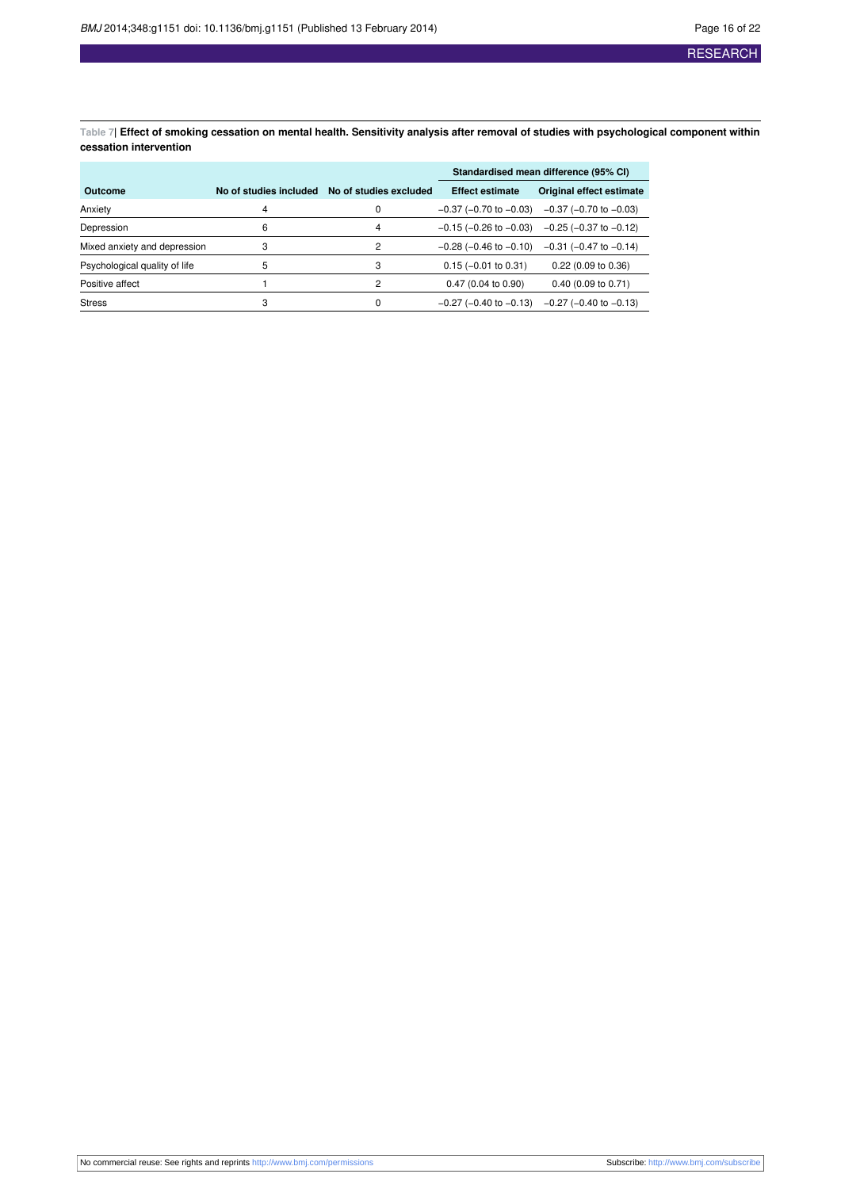<span id="page-15-0"></span>**Table 7| Effect of smoking cessation on mental health. Sensitivity analysis after removal of studies with psychological component within cessation intervention**

|                               |                        |                        | Standardised mean difference (95% CI) |                                |
|-------------------------------|------------------------|------------------------|---------------------------------------|--------------------------------|
| Outcome                       | No of studies included | No of studies excluded | <b>Effect estimate</b>                | Original effect estimate       |
| Anxiety                       | 4                      | 0                      | $-0.37$ ( $-0.70$ to $-0.03$ )        | $-0.37$ ( $-0.70$ to $-0.03$ ) |
| Depression                    | 6                      | 4                      | $-0.15$ ( $-0.26$ to $-0.03$ )        | $-0.25$ ( $-0.37$ to $-0.12$ ) |
| Mixed anxiety and depression  | 3                      | 2                      | $-0.28$ ( $-0.46$ to $-0.10$ )        | $-0.31$ ( $-0.47$ to $-0.14$ ) |
| Psychological quality of life | 5                      | 3                      | $0.15$ (-0.01 to 0.31)                | $0.22$ (0.09 to 0.36)          |
| Positive affect               |                        | 2                      | $0.47(0.04 \text{ to } 0.90)$         | $0.40$ (0.09 to 0.71)          |
| <b>Stress</b>                 | 3                      | $\Omega$               | $-0.27$ ( $-0.40$ to $-0.13$ )        | $-0.27$ ( $-0.40$ to $-0.13$ ) |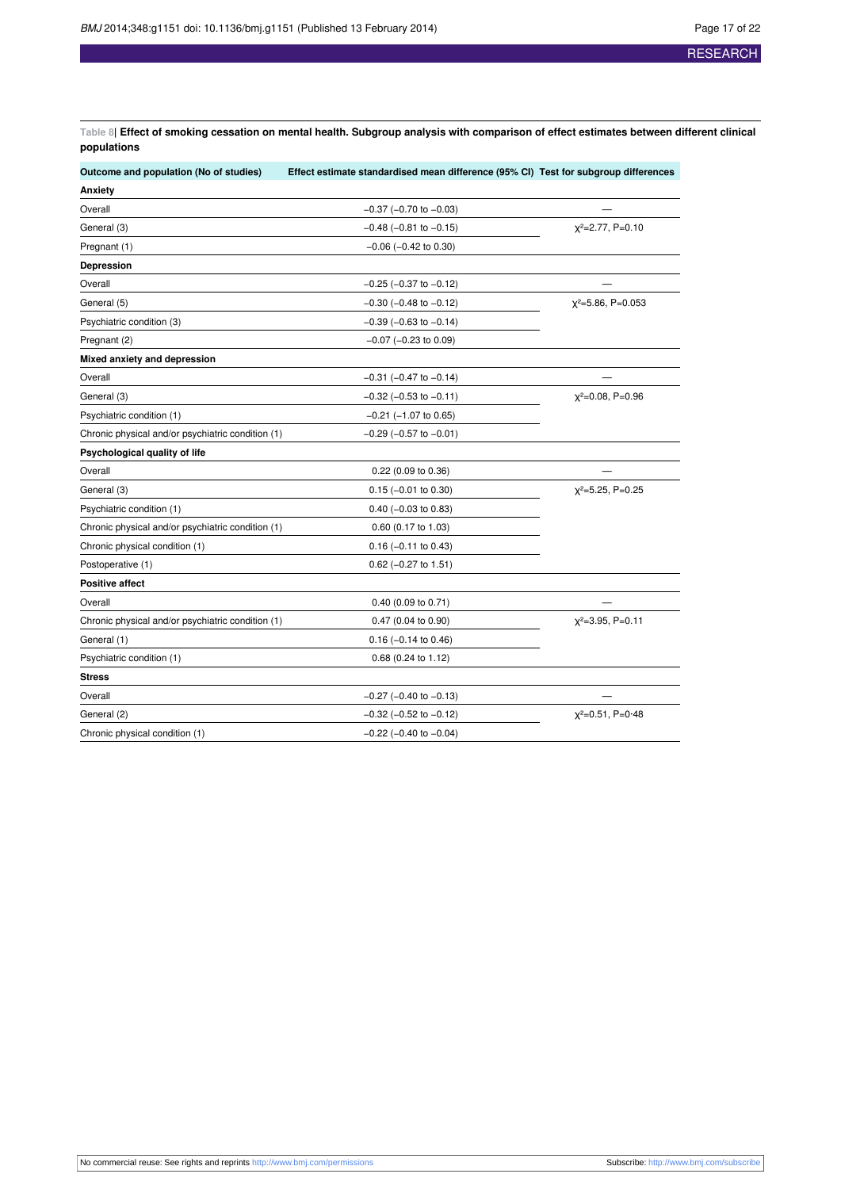<span id="page-16-0"></span>**Table 8| Effect of smoking cessation on mental health. Subgroup analysis with comparison of effect estimates between different clinical populations**

| Outcome and population (No of studies)            | Effect estimate standardised mean difference (95% CI) Test for subgroup differences |                      |
|---------------------------------------------------|-------------------------------------------------------------------------------------|----------------------|
| <b>Anxiety</b>                                    |                                                                                     |                      |
| Overall                                           | $-0.37$ ( $-0.70$ to $-0.03$ )                                                      |                      |
| General (3)                                       | $-0.48$ ( $-0.81$ to $-0.15$ )                                                      | $X^2=2.77, P=0.10$   |
| Pregnant (1)                                      | $-0.06$ ( $-0.42$ to 0.30)                                                          |                      |
| Depression                                        |                                                                                     |                      |
| Overall                                           | $-0.25$ ( $-0.37$ to $-0.12$ )                                                      |                      |
| General (5)                                       | $-0.30$ ( $-0.48$ to $-0.12$ )                                                      | $x^2=5.86$ , P=0.053 |
| Psychiatric condition (3)                         | $-0.39$ ( $-0.63$ to $-0.14$ )                                                      |                      |
| Pregnant (2)                                      | $-0.07$ ( $-0.23$ to 0.09)                                                          |                      |
| Mixed anxiety and depression                      |                                                                                     |                      |
| Overall                                           | $-0.31$ ( $-0.47$ to $-0.14$ )                                                      |                      |
| General (3)                                       | $-0.32$ ( $-0.53$ to $-0.11$ )                                                      | $x^2=0.08$ , P=0.96  |
| Psychiatric condition (1)                         | $-0.21$ ( $-1.07$ to 0.65)                                                          |                      |
| Chronic physical and/or psychiatric condition (1) | $-0.29$ ( $-0.57$ to $-0.01$ )                                                      |                      |
| Psychological quality of life                     |                                                                                     |                      |
| Overall                                           | $0.22$ (0.09 to 0.36)                                                               |                      |
| General (3)                                       | $0.15$ (-0.01 to 0.30)                                                              | $x^2=5.25$ , P=0.25  |
| Psychiatric condition (1)                         | $0.40$ (-0.03 to 0.83)                                                              |                      |
| Chronic physical and/or psychiatric condition (1) | 0.60 (0.17 to 1.03)                                                                 |                      |
| Chronic physical condition (1)                    | $0.16$ (-0.11 to 0.43)                                                              |                      |
| Postoperative (1)                                 | $0.62$ (-0.27 to 1.51)                                                              |                      |
| <b>Positive affect</b>                            |                                                                                     |                      |
| Overall                                           | 0.40 (0.09 to 0.71)                                                                 |                      |
| Chronic physical and/or psychiatric condition (1) | $0.47$ (0.04 to 0.90)                                                               | $x^2=3.95, P=0.11$   |
| General (1)                                       | $0.16$ (-0.14 to 0.46)                                                              |                      |
| Psychiatric condition (1)                         | 0.68 (0.24 to 1.12)                                                                 |                      |
| <b>Stress</b>                                     |                                                                                     |                      |
| Overall                                           | $-0.27$ ( $-0.40$ to $-0.13$ )                                                      |                      |
| General (2)                                       | $-0.32$ ( $-0.52$ to $-0.12$ )                                                      | $x^2=0.51$ , P=0.48  |
| Chronic physical condition (1)                    | $-0.22$ ( $-0.40$ to $-0.04$ )                                                      |                      |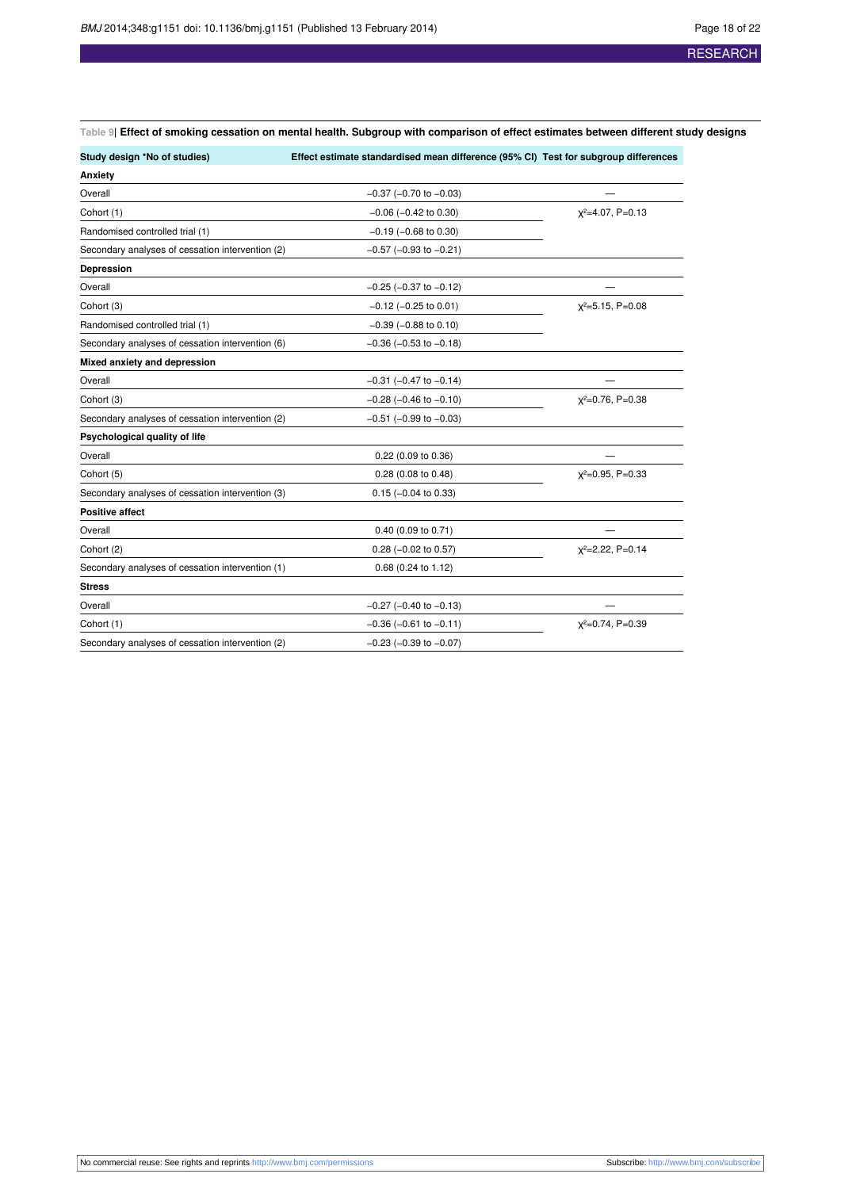<span id="page-17-0"></span>**Table 9| Effect of smoking cessation on mental health. Subgroup with comparison of effect estimates between different study designs**

| Study design *No of studies)                     | Effect estimate standardised mean difference (95% CI) Test for subgroup differences |                       |
|--------------------------------------------------|-------------------------------------------------------------------------------------|-----------------------|
| Anxiety                                          |                                                                                     |                       |
| Overall                                          | $-0.37$ ( $-0.70$ to $-0.03$ )                                                      |                       |
| Cohort (1)                                       | $-0.06$ ( $-0.42$ to 0.30)                                                          | $x^2 = 4.07$ , P=0.13 |
| Randomised controlled trial (1)                  | $-0.19$ ( $-0.68$ to 0.30)                                                          |                       |
| Secondary analyses of cessation intervention (2) | $-0.57$ ( $-0.93$ to $-0.21$ )                                                      |                       |
| Depression                                       |                                                                                     |                       |
| Overall                                          | $-0.25$ ( $-0.37$ to $-0.12$ )                                                      |                       |
| Cohort (3)                                       | $-0.12$ ( $-0.25$ to 0.01)                                                          | $x^2=5.15$ , P=0.08   |
| Randomised controlled trial (1)                  | $-0.39$ ( $-0.88$ to 0.10)                                                          |                       |
| Secondary analyses of cessation intervention (6) | $-0.36$ ( $-0.53$ to $-0.18$ )                                                      |                       |
| Mixed anxiety and depression                     |                                                                                     |                       |
| Overall                                          | $-0.31$ ( $-0.47$ to $-0.14$ )                                                      |                       |
| Cohort (3)                                       | $-0.28$ ( $-0.46$ to $-0.10$ )                                                      | $x^2=0.76$ , P=0.38   |
| Secondary analyses of cessation intervention (2) | $-0.51$ ( $-0.99$ to $-0.03$ )                                                      |                       |
| Psychological quality of life                    |                                                                                     |                       |
| Overall                                          | 0.22 (0.09 to 0.36)                                                                 |                       |
| Cohort (5)                                       | 0.28 (0.08 to 0.48)                                                                 | $x^2=0.95$ , P=0.33   |
| Secondary analyses of cessation intervention (3) | $0.15$ (-0.04 to 0.33)                                                              |                       |
| <b>Positive affect</b>                           |                                                                                     |                       |
| Overall                                          | 0.40 (0.09 to 0.71)                                                                 |                       |
| Cohort (2)                                       | $0.28$ (-0.02 to 0.57)                                                              | $x^2 = 2.22$ , P=0.14 |
| Secondary analyses of cessation intervention (1) | 0.68 (0.24 to 1.12)                                                                 |                       |
| <b>Stress</b>                                    |                                                                                     |                       |
| Overall                                          | $-0.27$ ( $-0.40$ to $-0.13$ )                                                      |                       |
| Cohort (1)                                       | $-0.36$ ( $-0.61$ to $-0.11$ )                                                      | $x^2=0.74$ , P=0.39   |
| Secondary analyses of cessation intervention (2) | $-0.23$ ( $-0.39$ to $-0.07$ )                                                      |                       |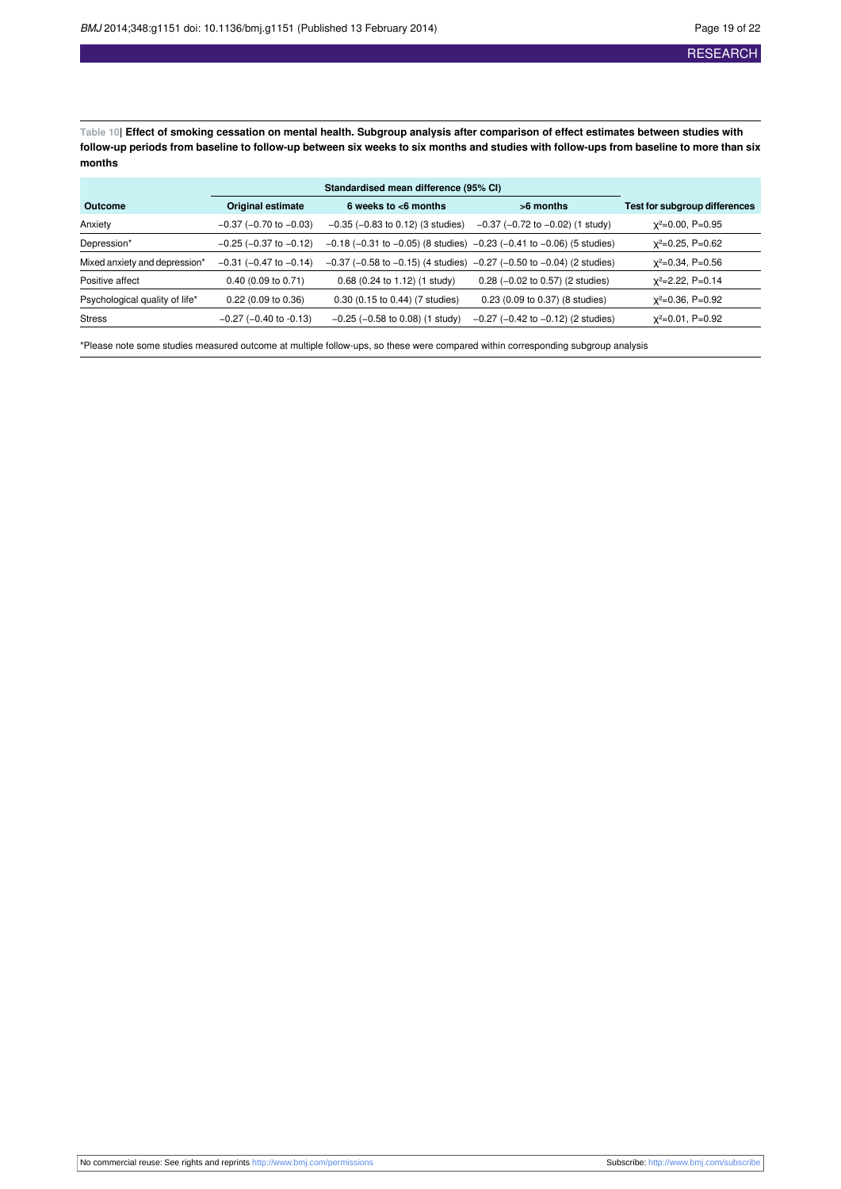<span id="page-18-0"></span>**Table 10| Effect of smoking cessation on mental health. Subgroup analysis after comparison of effect estimates between studies with follow-up periods from baseline to follow-up between six weeks to six months and studies with follow-ups from baseline to more than six months**

| Outcome                        | <b>Original estimate</b>       | 6 weeks to $<$ 6 months                                                               | >6 months                                  | Test for subgroup differences |
|--------------------------------|--------------------------------|---------------------------------------------------------------------------------------|--------------------------------------------|-------------------------------|
| Anxiety                        | $-0.37$ ( $-0.70$ to $-0.03$ ) | $-0.35$ ( $-0.83$ to 0.12) (3 studies)                                                | $-0.37$ ( $-0.72$ to $-0.02$ ) (1 study)   | $x^2=0.00$ , P=0.95           |
| Depression*                    | $-0.25$ ( $-0.37$ to $-0.12$ ) | $-0.18$ ( $-0.31$ to $-0.05$ ) (8 studies) $-0.23$ ( $-0.41$ to $-0.06$ ) (5 studies) |                                            | $x^2=0.25$ , P=0.62           |
| Mixed anxiety and depression*  | $-0.31$ ( $-0.47$ to $-0.14$ ) | $-0.37$ ( $-0.58$ to $-0.15$ ) (4 studies)                                            | $-0.27$ ( $-0.50$ to $-0.04$ ) (2 studies) | $x^2=0.34$ , P=0.56           |
| Positive affect                | $0.40$ (0.09 to 0.71)          | $0.68$ (0.24 to 1.12) (1 study)                                                       | $0.28$ (-0.02 to 0.57) (2 studies)         | $x^2 = 2.22$ , P=0.14         |
| Psychological quality of life* | $0.22$ (0.09 to 0.36)          | 0.30 (0.15 to 0.44) (7 studies)                                                       | 0.23 (0.09 to 0.37) (8 studies)            | $x^2=0.36, P=0.92$            |
| Stress                         | $-0.27$ ( $-0.40$ to $-0.13$ ) | $-0.25$ ( $-0.58$ to 0.08) (1 study)                                                  | $-0.27$ ( $-0.42$ to $-0.12$ ) (2 studies) | $x^2=0.01$ , P=0.92           |

\*Please note some studies measured outcome at multiple follow-ups, so these were compared within corresponding subgroup analysis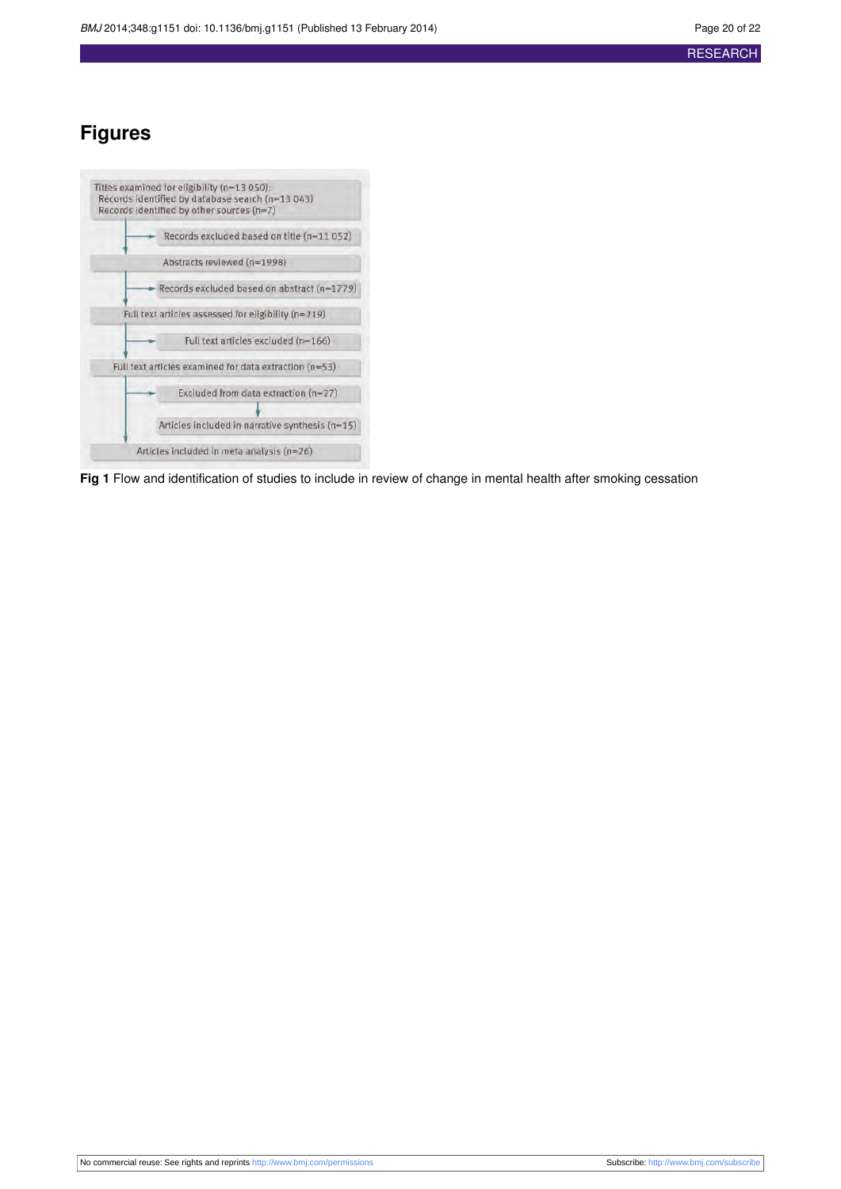# **Figures**

<span id="page-19-0"></span>

**Fig 1** Flow and identification of studies to include in review of change in mental health after smoking cessation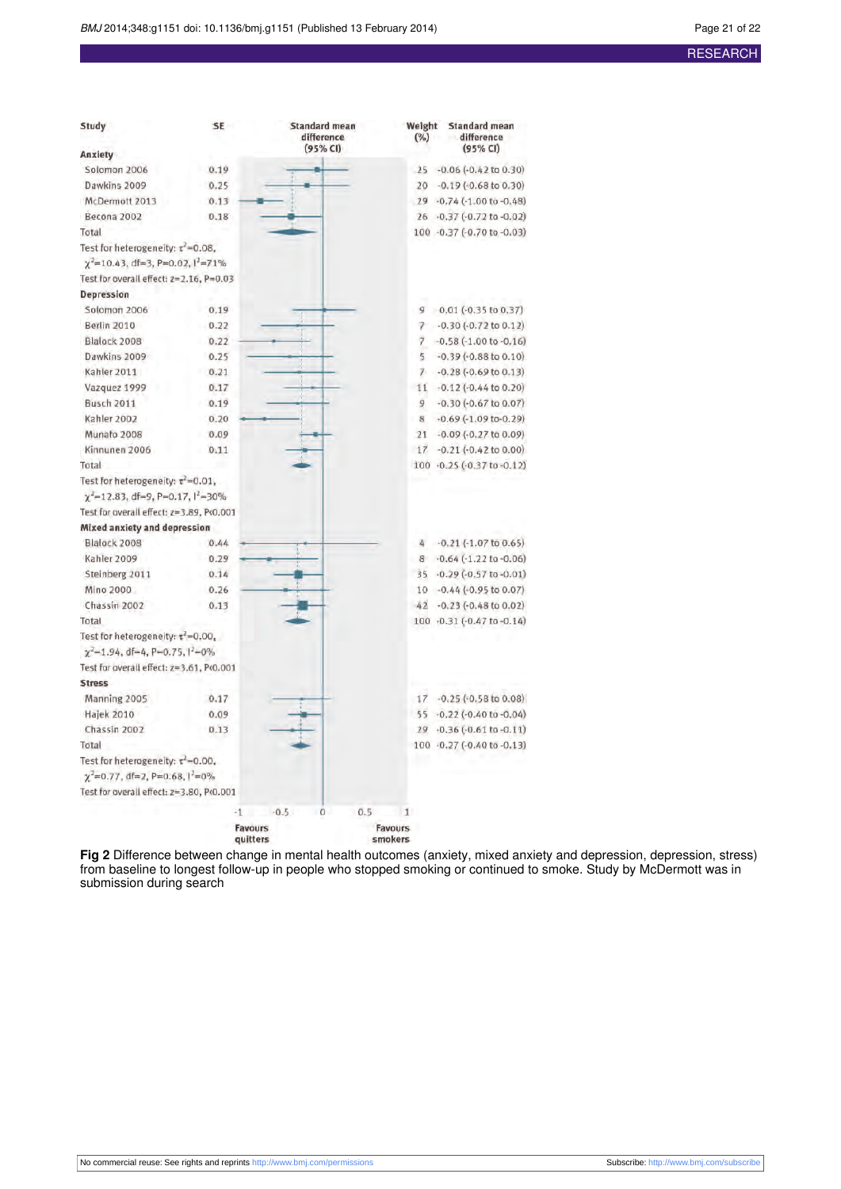## **RESEARCH**

<span id="page-20-0"></span>

| Study                                                                                  | <b>SE</b>      | <b>Standard mean</b><br>difference | Weight<br>$(\%)$ | <b>Standard mean</b><br>difference   |
|----------------------------------------------------------------------------------------|----------------|------------------------------------|------------------|--------------------------------------|
| Anxiety                                                                                |                | (95% CI)                           |                  | (95% CI)                             |
| Solomon 2006                                                                           | 0.19           |                                    |                  | 25 -0.06 (-0.42 to 0.30)             |
| Dawkins 2009                                                                           | 0.25           |                                    |                  | 20 -0.19 (-0.68 to 0.30)             |
| McDermott 2013                                                                         | 0.13           |                                    |                  | 29 -0.74 (-1.00 to -0.48)            |
| Becona 2002                                                                            | 0.18           |                                    |                  | 26 -0.37 (-0.72 to -0.02)            |
| Total                                                                                  |                |                                    |                  | 100 -0.37 (-0.70 to -0.03)           |
| Test for heterogeneity: $\tau^2$ =0.08,<br>$\chi^2$ =10.43, df=3, P=0.02, $1^2$ =71%   |                |                                    |                  |                                      |
| Test for overall effect: z=2.16, P=0.03                                                |                |                                    |                  |                                      |
| <b>Depression</b>                                                                      |                |                                    |                  |                                      |
| Solomon 2006                                                                           | 0.19           |                                    |                  | 9 0.01 (-0.35 to 0.37)               |
| Berlin 2010                                                                            | 0.22           |                                    |                  | 7 -0.30 (-0.72 to 0.12)              |
| Blalock 2008                                                                           | 0.22           |                                    |                  | 7 -0.58 (-1.00 to -0.16)             |
| Dawkins 2009                                                                           | 0.25           |                                    |                  | $5 -0.39(-0.88 \text{ to } 0.10)$    |
| Kahler 2011                                                                            | 0.21           |                                    |                  | $7 -0.28 (-0.69 to 0.13)$            |
| Vazquez 1999                                                                           | 0.17           |                                    |                  | 11 -0.12 (-0.44 to 0.20)             |
| <b>Busch 2011</b>                                                                      | 0.19           |                                    | 9                | $-0.30 (-0.67 to 0.07)$              |
| Kahler 2002                                                                            | 0.20           |                                    | 8                | $-0.69(-1.09 to -0.29)$              |
| Munafo 2008                                                                            | 0.09           |                                    | 21               | $-0.09(-0.27$ to $0.09$ )            |
| Kinnunen 2006                                                                          | 0.11           |                                    |                  | 17 -0.21 (-0.42 to 0.00)             |
| Total                                                                                  |                |                                    |                  | 100 -0.25 (-0.37 to -0.12)           |
| Test for heterogeneity: $\tau^2 = 0.01$ ,<br>$\chi^2$ =12.83, df=9, P=0.17, $1^2$ =30% |                |                                    |                  |                                      |
| Test for overall effect: z=3.89, P<0.001                                               |                |                                    |                  |                                      |
| Mixed anxiety and depression                                                           |                |                                    |                  |                                      |
| Blalock 2008                                                                           | 0.44           |                                    | 4                | $-0.21$ ( $-1.07$ to 0.65)           |
| Kahler 2009                                                                            | 0.29           |                                    |                  | $8 - 0.64 (-1.22 \text{ to } -0.06)$ |
| Steinberg 2011                                                                         | 0.14           |                                    |                  | 35 -0.29 (-0.57 to -0.01)            |
| Mino 2000                                                                              | 0.26           |                                    |                  | 10 -0.44 (-0.95 to 0.07)             |
| Chassin 2002                                                                           | 0.13           |                                    |                  | 42 -0.23 (-0.48 to 0.02)             |
| Total                                                                                  |                |                                    |                  | 100 -0.31 (-0.47 to -0.14)           |
| Test for heterogeneity: $\tau^2$ =0.00,                                                |                |                                    |                  |                                      |
| $\gamma^2$ =1.94, df=4, P=0.75, $1^2$ =0%                                              |                |                                    |                  |                                      |
| Test for overall effect: z=3.61, P<0.001                                               |                |                                    |                  |                                      |
| <b>Stress</b>                                                                          |                |                                    |                  |                                      |
| Manning 2005                                                                           | 0.17           |                                    |                  | 17 -0.25 (-0.58 to 0.08)             |
| Haiek 2010                                                                             | 0.09           |                                    |                  | 55 -0.22 (-0.40 to -0.04)            |
| Chassin 2002                                                                           | 0.13           |                                    |                  | 29 -0.36 (-0.61 to -0.11)            |
| Total                                                                                  |                |                                    |                  | 100 -0.27 (-0.40 to -0.13)           |
| Test for heterogeneity: $\tau^2$ =0.00,                                                |                |                                    |                  |                                      |
| $\chi^2$ =0.77, df=2, P=0.68, $1^2$ =0%                                                |                |                                    |                  |                                      |
| Test for overall effect: z=3.80, P<0.001                                               |                |                                    |                  |                                      |
|                                                                                        | $-1$           | $-0.5$<br>$\alpha$                 | 0.5<br>1         |                                      |
|                                                                                        | <b>Favours</b> |                                    | <b>Favours</b>   |                                      |
|                                                                                        | quitters       |                                    | smokers          |                                      |

**Fig 2** Difference between change in mental health outcomes (anxiety, mixed anxiety and depression, depression, stress) from baseline to longest follow-up in people who stopped smoking or continued to smoke. Study by McDermott was in submission during search